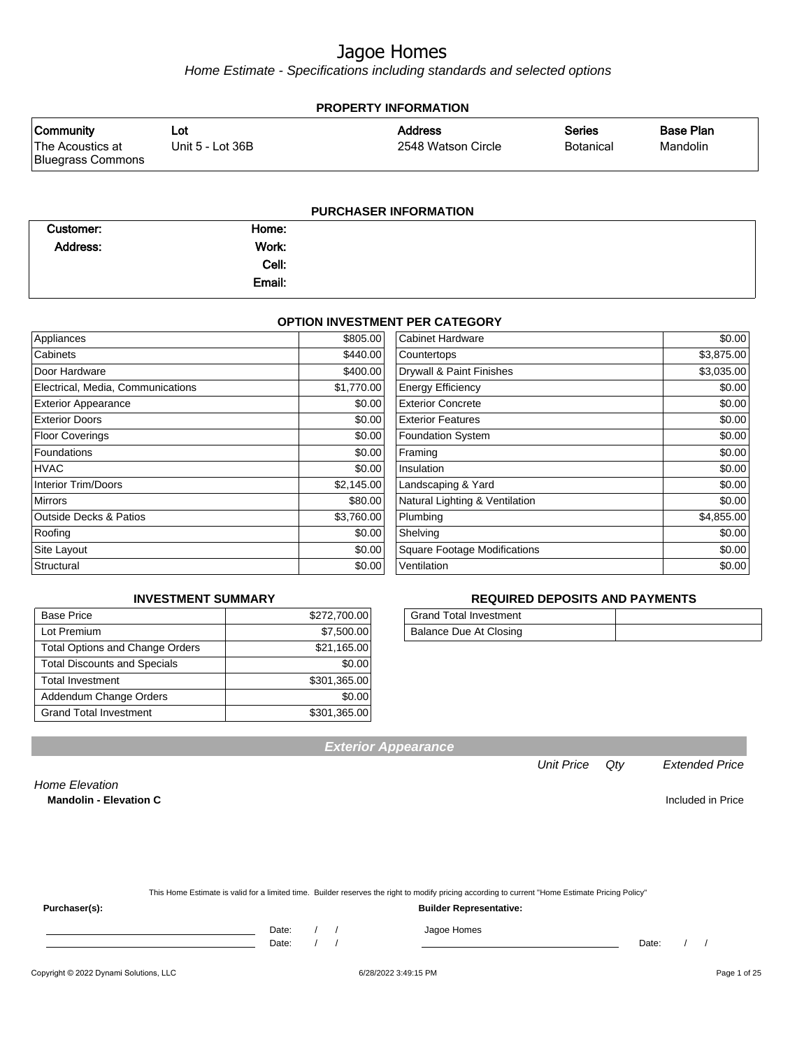Home Estimate - Specifications including standards and selected options

| <b>PROPERTY INFORMATION</b>                               |                         |                                      |                                   |                              |  |
|-----------------------------------------------------------|-------------------------|--------------------------------------|-----------------------------------|------------------------------|--|
| <b>Community</b><br>The Acoustics at<br>Bluegrass Commons | Lot<br>Unit 5 - Lot 36B | <b>Address</b><br>2548 Watson Circle | <b>Series</b><br><b>Botanical</b> | <b>Base Plan</b><br>Mandolin |  |
|                                                           |                         |                                      |                                   |                              |  |

#### **PURCHASER INFORMATION**

| Customer:       | Home:  |  |
|-----------------|--------|--|
| <b>Address:</b> | Work:  |  |
|                 | Cell:  |  |
|                 | Email: |  |

#### **OPTION INVESTMENT PER CATEGORY**

| Appliances                        | \$805.00   | <b>Cabinet Hardware</b>             | \$0.00     |
|-----------------------------------|------------|-------------------------------------|------------|
| Cabinets                          | \$440.00   | Countertops                         | \$3,875.00 |
| Door Hardware                     | \$400.00   | Drywall & Paint Finishes            | \$3,035.00 |
| Electrical, Media, Communications | \$1,770.00 | <b>Energy Efficiency</b>            | \$0.00     |
| <b>Exterior Appearance</b>        | \$0.00     | <b>Exterior Concrete</b>            | \$0.00     |
| <b>Exterior Doors</b>             | \$0.00     | <b>Exterior Features</b>            | \$0.00     |
| <b>Floor Coverings</b>            | \$0.00     | <b>Foundation System</b>            | \$0.00     |
| Foundations                       | \$0.00     | Framing                             | \$0.00     |
| <b>HVAC</b>                       | \$0.00     | Insulation                          | \$0.00     |
| <b>Interior Trim/Doors</b>        | \$2,145.00 | Landscaping & Yard                  | \$0.00     |
| <b>Mirrors</b>                    | \$80.00    | Natural Lighting & Ventilation      | \$0.00     |
| <b>Outside Decks &amp; Patios</b> | \$3,760.00 | Plumbing                            | \$4,855.00 |
| Roofing                           | \$0.00     | Shelving                            | \$0.00     |
| Site Layout                       | \$0.00     | <b>Square Footage Modifications</b> | \$0.00     |
| Structural                        | \$0.00     | Ventilation                         | \$0.00     |

#### **REQUIRED DEPOSITS AND PAYMENTS**

| <b>Grand Total Investment</b> |  |
|-------------------------------|--|
| Balance Due At Closing        |  |

| <b>Base Price</b>                      | \$272,700.00 |
|----------------------------------------|--------------|
| Lot Premium                            | \$7,500.00   |
| <b>Total Options and Change Orders</b> | \$21,165.00  |
| <b>Total Discounts and Specials</b>    | \$0.00       |
| <b>Total Investment</b>                | \$301,365.00 |
| Addendum Change Orders                 | \$0.00       |
| <b>Grand Total Investment</b>          | \$301,365.00 |
|                                        |              |

**INVESTMENT SUMMARY**

### **Exterior Appearance**

#### Unit Price Qty Extended Price

Home Elevation **Mandolin - Elevation C Included in Price** 

| This Home Estimate is valid for a limited time. Builder reserves the right to modify pricing according to current "Home Estimate Pricing Policy" |
|--------------------------------------------------------------------------------------------------------------------------------------------------|
|                                                                                                                                                  |

**Purchaser(s): Builder Representative:**

Date: / / / Jagoe Homes

Date: / / Date: / /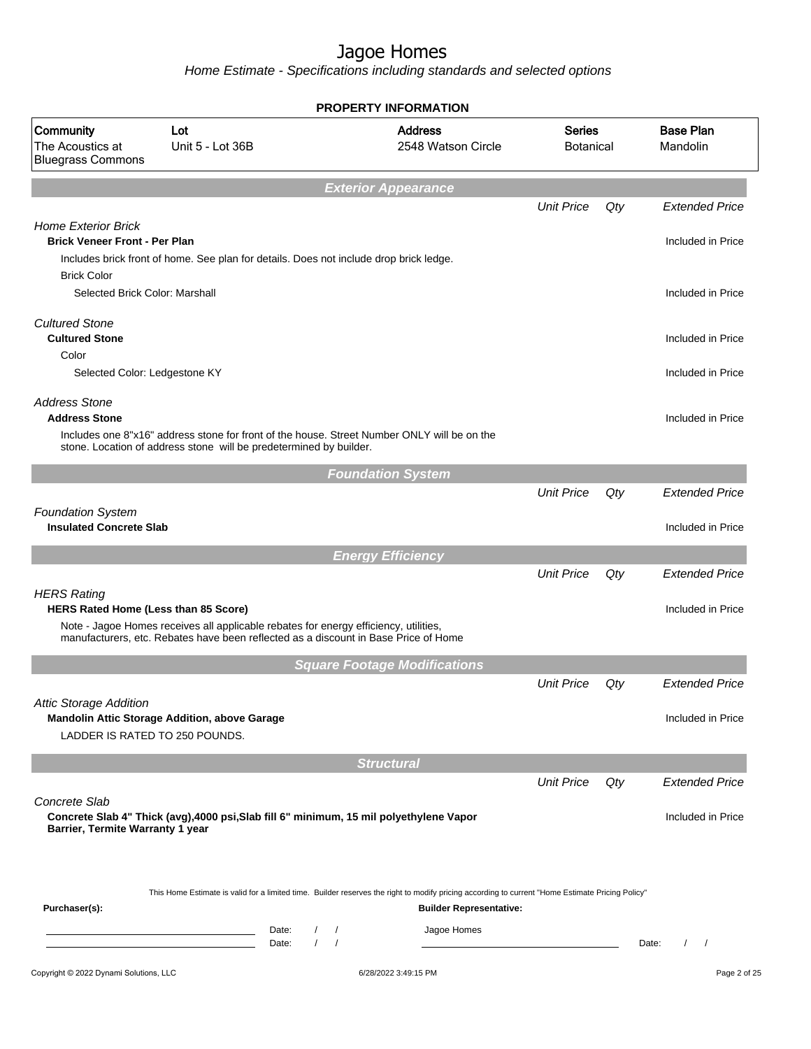|                                                                    |                                                                                                                                                                                |                                                      | <b>PROPERTY INFORMATION</b>                                                                                                                                                        |                                   |     |                              |
|--------------------------------------------------------------------|--------------------------------------------------------------------------------------------------------------------------------------------------------------------------------|------------------------------------------------------|------------------------------------------------------------------------------------------------------------------------------------------------------------------------------------|-----------------------------------|-----|------------------------------|
| Community<br>The Acoustics at<br><b>Bluegrass Commons</b>          | Lot<br>Unit 5 - Lot 36B                                                                                                                                                        |                                                      | <b>Address</b><br>2548 Watson Circle                                                                                                                                               | <b>Series</b><br><b>Botanical</b> |     | <b>Base Plan</b><br>Mandolin |
|                                                                    |                                                                                                                                                                                |                                                      | <b>Exterior Appearance</b>                                                                                                                                                         |                                   |     |                              |
|                                                                    |                                                                                                                                                                                |                                                      |                                                                                                                                                                                    | <b>Unit Price</b>                 | Qty | <b>Extended Price</b>        |
| <b>Home Exterior Brick</b><br><b>Brick Veneer Front - Per Plan</b> |                                                                                                                                                                                |                                                      |                                                                                                                                                                                    |                                   |     | Included in Price            |
|                                                                    | Includes brick front of home. See plan for details. Does not include drop brick ledge.                                                                                         |                                                      |                                                                                                                                                                                    |                                   |     |                              |
| <b>Brick Color</b><br>Selected Brick Color: Marshall               |                                                                                                                                                                                |                                                      |                                                                                                                                                                                    |                                   |     | Included in Price            |
| <b>Cultured Stone</b><br><b>Cultured Stone</b>                     |                                                                                                                                                                                |                                                      |                                                                                                                                                                                    |                                   |     | Included in Price            |
| Color                                                              |                                                                                                                                                                                |                                                      |                                                                                                                                                                                    |                                   |     |                              |
| Selected Color: Ledgestone KY                                      |                                                                                                                                                                                |                                                      |                                                                                                                                                                                    |                                   |     | Included in Price            |
| <b>Address Stone</b><br><b>Address Stone</b>                       |                                                                                                                                                                                |                                                      | Includes one 8"x16" address stone for front of the house. Street Number ONLY will be on the                                                                                        |                                   |     | Included in Price            |
|                                                                    | stone. Location of address stone will be predetermined by builder.                                                                                                             |                                                      |                                                                                                                                                                                    |                                   |     |                              |
|                                                                    |                                                                                                                                                                                |                                                      | <b>Foundation System</b>                                                                                                                                                           |                                   |     |                              |
|                                                                    |                                                                                                                                                                                |                                                      |                                                                                                                                                                                    | <b>Unit Price</b>                 | Qty | <b>Extended Price</b>        |
| <b>Foundation System</b><br><b>Insulated Concrete Slab</b>         |                                                                                                                                                                                |                                                      |                                                                                                                                                                                    |                                   |     | Included in Price            |
|                                                                    |                                                                                                                                                                                |                                                      | <b>Energy Efficiency</b>                                                                                                                                                           |                                   |     |                              |
|                                                                    |                                                                                                                                                                                |                                                      |                                                                                                                                                                                    | <b>Unit Price</b>                 | Qty | <b>Extended Price</b>        |
| <b>HERS Rating</b><br>HERS Rated Home (Less than 85 Score)         |                                                                                                                                                                                |                                                      |                                                                                                                                                                                    |                                   |     | Included in Price            |
|                                                                    | Note - Jagoe Homes receives all applicable rebates for energy efficiency, utilities,<br>manufacturers, etc. Rebates have been reflected as a discount in Base Price of Home    |                                                      |                                                                                                                                                                                    |                                   |     |                              |
|                                                                    |                                                                                                                                                                                |                                                      | <b>Square Footage Modifications</b>                                                                                                                                                |                                   |     |                              |
|                                                                    |                                                                                                                                                                                |                                                      |                                                                                                                                                                                    | <b>Unit Price</b>                 | Qty | <b>Extended Price</b>        |
| <b>Attic Storage Addition</b>                                      | Mandolin Attic Storage Addition, above Garage                                                                                                                                  |                                                      |                                                                                                                                                                                    |                                   |     | Included in Price            |
|                                                                    | LADDER IS RATED TO 250 POUNDS.                                                                                                                                                 |                                                      |                                                                                                                                                                                    |                                   |     |                              |
|                                                                    |                                                                                                                                                                                |                                                      | <b>Structural</b>                                                                                                                                                                  |                                   |     |                              |
|                                                                    |                                                                                                                                                                                |                                                      |                                                                                                                                                                                    | <b>Unit Price</b>                 | Qty | <b>Extended Price</b>        |
| Concrete Slab                                                      |                                                                                                                                                                                |                                                      | Concrete Slab 4" Thick (avg), 4000 psi, Slab fill 6" minimum, 15 mil polyethylene Vapor                                                                                            |                                   |     | Included in Price            |
| Barrier, Termite Warranty 1 year                                   |                                                                                                                                                                                |                                                      |                                                                                                                                                                                    |                                   |     |                              |
|                                                                    |                                                                                                                                                                                |                                                      |                                                                                                                                                                                    |                                   |     |                              |
| Purchaser(s):                                                      |                                                                                                                                                                                |                                                      | This Home Estimate is valid for a limited time. Builder reserves the right to modify pricing according to current "Home Estimate Pricing Policy"<br><b>Builder Representative:</b> |                                   |     |                              |
|                                                                    | <u> 1989 - Johann Barn, mars ann an t-Amhair an t-Amhair an t-Amhair an t-Amhair an t-Amhair an t-Amhair an t-A</u><br><u> 1989 - Johann Barn, mars ann an t-Amhain an t-A</u> | Date:<br>$\prime$<br>$\prime$<br>$\sqrt{ }$<br>Date: | Jagoe Homes                                                                                                                                                                        |                                   |     | Date:                        |
| Copyright © 2022 Dynami Solutions, LLC                             |                                                                                                                                                                                |                                                      | 6/28/2022 3:49:15 PM                                                                                                                                                               |                                   |     | Page 2 of 25                 |
|                                                                    |                                                                                                                                                                                |                                                      |                                                                                                                                                                                    |                                   |     |                              |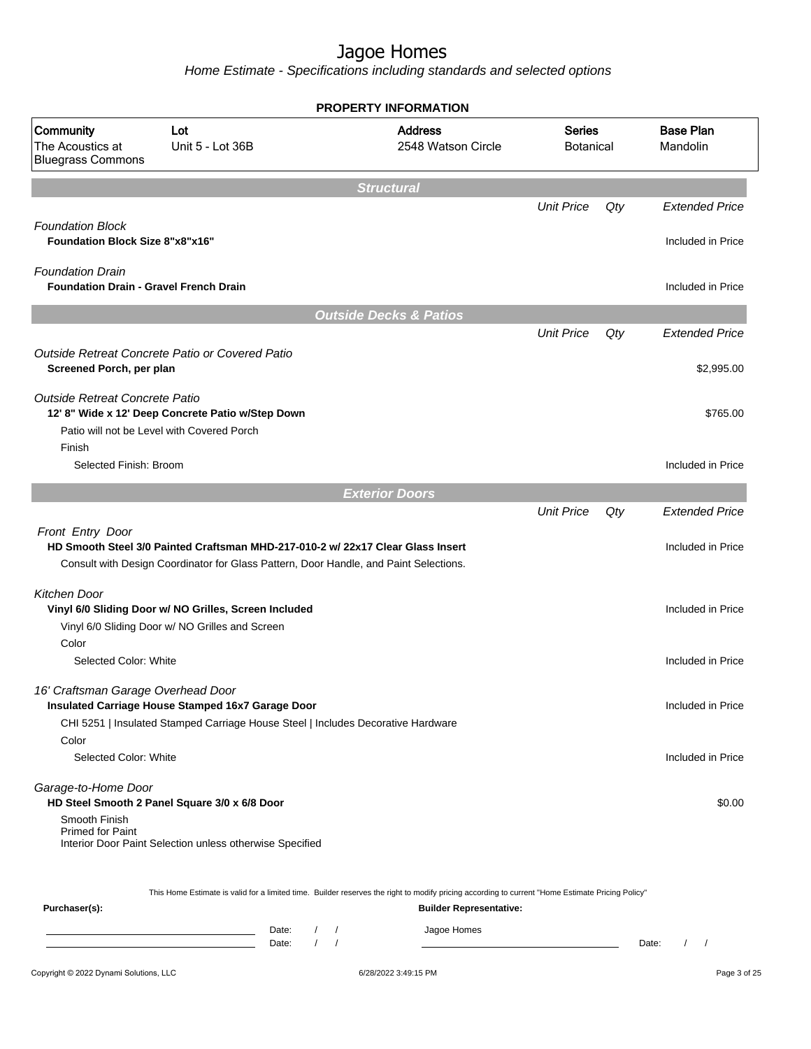|                                                                          |                                                                                                                                                                          | <b>PROPERTY INFORMATION</b>                                                                                                                                                        |                                   |     |                              |
|--------------------------------------------------------------------------|--------------------------------------------------------------------------------------------------------------------------------------------------------------------------|------------------------------------------------------------------------------------------------------------------------------------------------------------------------------------|-----------------------------------|-----|------------------------------|
| Community<br>The Acoustics at<br><b>Bluegrass Commons</b>                | Lot<br>Unit 5 - Lot 36B                                                                                                                                                  | <b>Address</b><br>2548 Watson Circle                                                                                                                                               | <b>Series</b><br><b>Botanical</b> |     | <b>Base Plan</b><br>Mandolin |
|                                                                          |                                                                                                                                                                          | <b>Structural</b>                                                                                                                                                                  |                                   |     |                              |
|                                                                          |                                                                                                                                                                          |                                                                                                                                                                                    | <b>Unit Price</b>                 | Qty | <b>Extended Price</b>        |
| <b>Foundation Block</b><br><b>Foundation Block Size 8"x8"x16"</b>        |                                                                                                                                                                          |                                                                                                                                                                                    |                                   |     | Included in Price            |
| <b>Foundation Drain</b><br><b>Foundation Drain - Gravel French Drain</b> |                                                                                                                                                                          |                                                                                                                                                                                    |                                   |     | Included in Price            |
|                                                                          |                                                                                                                                                                          | <b>Outside Decks &amp; Patios</b>                                                                                                                                                  |                                   |     |                              |
|                                                                          |                                                                                                                                                                          |                                                                                                                                                                                    | <b>Unit Price</b>                 | Qty | <b>Extended Price</b>        |
| Screened Porch, per plan                                                 | Outside Retreat Concrete Patio or Covered Patio                                                                                                                          |                                                                                                                                                                                    |                                   |     | \$2,995.00                   |
| Outside Retreat Concrete Patio                                           | 12' 8" Wide x 12' Deep Concrete Patio w/Step Down<br>Patio will not be Level with Covered Porch                                                                          |                                                                                                                                                                                    |                                   |     | \$765.00                     |
| Finish<br>Selected Finish: Broom                                         |                                                                                                                                                                          |                                                                                                                                                                                    |                                   |     | Included in Price            |
|                                                                          |                                                                                                                                                                          | <b>Exterior Doors</b>                                                                                                                                                              |                                   |     |                              |
|                                                                          |                                                                                                                                                                          |                                                                                                                                                                                    | <b>Unit Price</b>                 | Qty | <b>Extended Price</b>        |
| Front Entry Door                                                         | HD Smooth Steel 3/0 Painted Craftsman MHD-217-010-2 w/ 22x17 Clear Glass Insert<br>Consult with Design Coordinator for Glass Pattern, Door Handle, and Paint Selections. |                                                                                                                                                                                    |                                   |     | Included in Price            |
| <b>Kitchen Door</b>                                                      | Vinyl 6/0 Sliding Door w/ NO Grilles, Screen Included<br>Vinyl 6/0 Sliding Door w/ NO Grilles and Screen                                                                 |                                                                                                                                                                                    |                                   |     | Included in Price            |
| Color<br>Selected Color: White                                           |                                                                                                                                                                          |                                                                                                                                                                                    |                                   |     | Included in Price            |
| 16' Craftsman Garage Overhead Door                                       | Insulated Carriage House Stamped 16x7 Garage Door<br>CHI 5251   Insulated Stamped Carriage House Steel   Includes Decorative Hardware                                    |                                                                                                                                                                                    |                                   |     | Included in Price            |
| Color<br>Selected Color: White                                           |                                                                                                                                                                          |                                                                                                                                                                                    |                                   |     | Included in Price            |
| Garage-to-Home Door<br>Smooth Finish<br><b>Primed for Paint</b>          | HD Steel Smooth 2 Panel Square 3/0 x 6/8 Door<br>Interior Door Paint Selection unless otherwise Specified                                                                |                                                                                                                                                                                    |                                   |     | \$0.00                       |
| Purchaser(s):                                                            |                                                                                                                                                                          | This Home Estimate is valid for a limited time. Builder reserves the right to modify pricing according to current "Home Estimate Pricing Policy"<br><b>Builder Representative:</b> |                                   |     |                              |
|                                                                          | Date:<br>Date:                                                                                                                                                           | Jagoe Homes                                                                                                                                                                        |                                   |     | Date:                        |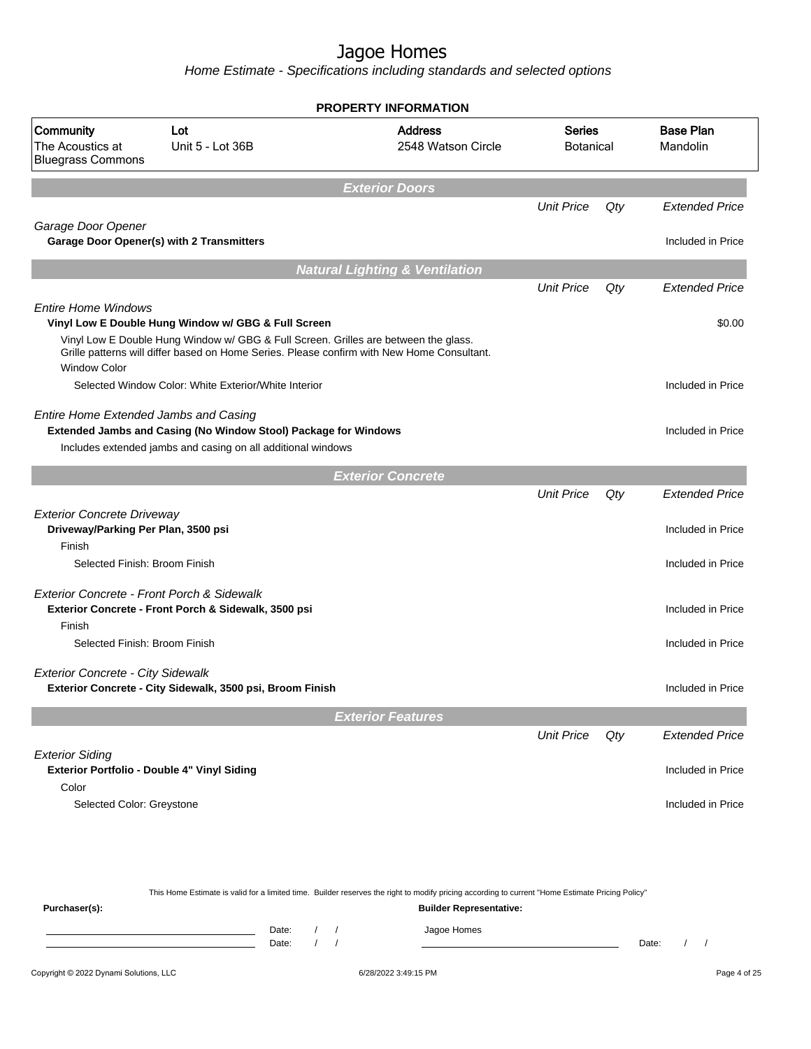Home Estimate - Specifications including standards and selected options

|                                                                                    |                                                                                                                                                                                   | <b>PROPERTY INFORMATION</b>               |                            |     |                              |
|------------------------------------------------------------------------------------|-----------------------------------------------------------------------------------------------------------------------------------------------------------------------------------|-------------------------------------------|----------------------------|-----|------------------------------|
| <b>Community</b><br>The Acoustics at<br><b>Bluegrass Commons</b>                   | Lot<br>Unit 5 - Lot 36B                                                                                                                                                           | <b>Address</b><br>2548 Watson Circle      | Series<br><b>Botanical</b> |     | <b>Base Plan</b><br>Mandolin |
|                                                                                    |                                                                                                                                                                                   | <b>Exterior Doors</b>                     |                            |     |                              |
|                                                                                    |                                                                                                                                                                                   |                                           | <b>Unit Price</b>          | Qty | <b>Extended Price</b>        |
| Garage Door Opener                                                                 | Garage Door Opener(s) with 2 Transmitters                                                                                                                                         |                                           |                            |     | Included in Price            |
|                                                                                    |                                                                                                                                                                                   | <b>Natural Lighting &amp; Ventilation</b> |                            |     |                              |
|                                                                                    |                                                                                                                                                                                   |                                           | <b>Unit Price</b>          | Qty | <b>Extended Price</b>        |
| <b>Entire Home Windows</b>                                                         | Vinyl Low E Double Hung Window w/ GBG & Full Screen                                                                                                                               |                                           |                            |     | \$0.00                       |
| <b>Window Color</b>                                                                | Vinyl Low E Double Hung Window w/ GBG & Full Screen. Grilles are between the glass.<br>Grille patterns will differ based on Home Series. Please confirm with New Home Consultant. |                                           |                            |     |                              |
|                                                                                    | Selected Window Color: White Exterior/White Interior                                                                                                                              |                                           |                            |     | Included in Price            |
| Entire Home Extended Jambs and Casing                                              | Extended Jambs and Casing (No Window Stool) Package for Windows<br>Includes extended jambs and casing on all additional windows                                                   |                                           |                            |     | Included in Price            |
|                                                                                    |                                                                                                                                                                                   | <b>Exterior Concrete</b>                  |                            |     |                              |
|                                                                                    |                                                                                                                                                                                   |                                           | <b>Unit Price</b>          | Qty | <b>Extended Price</b>        |
| <b>Exterior Concrete Driveway</b><br>Driveway/Parking Per Plan, 3500 psi<br>Finish |                                                                                                                                                                                   |                                           |                            |     | Included in Price            |
| Selected Finish: Broom Finish                                                      |                                                                                                                                                                                   |                                           |                            |     | Included in Price            |
| Exterior Concrete - Front Porch & Sidewalk<br>Finish                               | Exterior Concrete - Front Porch & Sidewalk, 3500 psi                                                                                                                              |                                           |                            |     | Included in Price            |
| Selected Finish: Broom Finish                                                      |                                                                                                                                                                                   |                                           |                            |     | Included in Price            |
| <b>Exterior Concrete - City Sidewalk</b>                                           | Exterior Concrete - City Sidewalk, 3500 psi, Broom Finish                                                                                                                         |                                           |                            |     | Included in Price            |
|                                                                                    |                                                                                                                                                                                   | <b>Exterior Features</b>                  |                            |     |                              |
|                                                                                    |                                                                                                                                                                                   |                                           | <b>Unit Price</b>          | Qty | <b>Extended Price</b>        |
| <b>Exterior Siding</b>                                                             | Exterior Portfolio - Double 4" Vinyl Siding                                                                                                                                       |                                           |                            |     | Included in Price            |
| Color                                                                              |                                                                                                                                                                                   |                                           |                            |     |                              |
| Selected Color: Greystone                                                          |                                                                                                                                                                                   |                                           |                            |     | Included in Price            |
|                                                                                    |                                                                                                                                                                                   |                                           |                            |     |                              |
|                                                                                    |                                                                                                                                                                                   |                                           |                            |     |                              |

This Home Estimate is valid for a limited time. Builder reserves the right to modify pricing according to current "Home Estimate Pricing Policy"

**Purchaser(s): Builder Representative:** Date: / / Jagoe Homes<br>Date: / / Jagoe Homes Date: / / Date: / /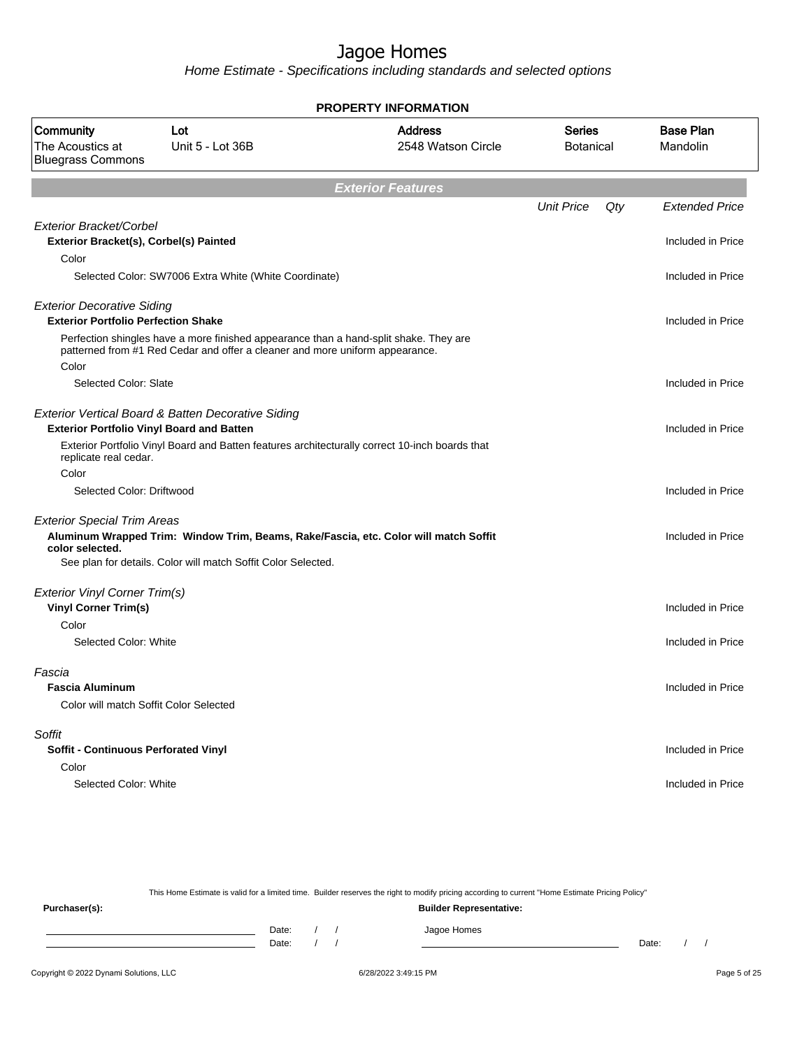Home Estimate - Specifications including standards and selected options

| <b>PROPERTY INFORMATION</b>                                                     |                                                                                                                                                                       |                                      |                     |     |                              |
|---------------------------------------------------------------------------------|-----------------------------------------------------------------------------------------------------------------------------------------------------------------------|--------------------------------------|---------------------|-----|------------------------------|
| Community<br>The Acoustics at<br><b>Bluegrass Commons</b>                       | Lot<br>Unit 5 - Lot 36B                                                                                                                                               | <b>Address</b><br>2548 Watson Circle | Series<br>Botanical |     | <b>Base Plan</b><br>Mandolin |
|                                                                                 |                                                                                                                                                                       | <b>Exterior Features</b>             |                     |     |                              |
|                                                                                 |                                                                                                                                                                       |                                      | <b>Unit Price</b>   | Qty | <b>Extended Price</b>        |
| <b>Exterior Bracket/Corbel</b><br>Exterior Bracket(s), Corbel(s) Painted        |                                                                                                                                                                       |                                      |                     |     | Included in Price            |
| Color                                                                           | Selected Color: SW7006 Extra White (White Coordinate)                                                                                                                 |                                      |                     |     | Included in Price            |
|                                                                                 |                                                                                                                                                                       |                                      |                     |     |                              |
| <b>Exterior Decorative Siding</b><br><b>Exterior Portfolio Perfection Shake</b> |                                                                                                                                                                       |                                      |                     |     | Included in Price            |
| Color                                                                           | Perfection shingles have a more finished appearance than a hand-split shake. They are<br>patterned from #1 Red Cedar and offer a cleaner and more uniform appearance. |                                      |                     |     |                              |
| Selected Color: Slate                                                           |                                                                                                                                                                       |                                      |                     |     | Included in Price            |
|                                                                                 | Exterior Vertical Board & Batten Decorative Siding<br><b>Exterior Portfolio Vinyl Board and Batten</b>                                                                |                                      |                     |     | Included in Price            |
| replicate real cedar.                                                           | Exterior Portfolio Vinyl Board and Batten features architecturally correct 10-inch boards that                                                                        |                                      |                     |     |                              |
| Color                                                                           |                                                                                                                                                                       |                                      |                     |     |                              |
| Selected Color: Driftwood                                                       |                                                                                                                                                                       |                                      |                     |     | Included in Price            |
| <b>Exterior Special Trim Areas</b><br>color selected.                           | Aluminum Wrapped Trim: Window Trim, Beams, Rake/Fascia, etc. Color will match Soffit                                                                                  |                                      |                     |     | Included in Price            |
|                                                                                 | See plan for details. Color will match Soffit Color Selected.                                                                                                         |                                      |                     |     |                              |
| <b>Exterior Vinyl Corner Trim(s)</b>                                            |                                                                                                                                                                       |                                      |                     |     |                              |
| <b>Vinyl Corner Trim(s)</b>                                                     |                                                                                                                                                                       |                                      |                     |     | Included in Price            |
| Color<br>Selected Color: White                                                  |                                                                                                                                                                       |                                      |                     |     | Included in Price            |
|                                                                                 |                                                                                                                                                                       |                                      |                     |     |                              |
| Fascia<br><b>Fascia Aluminum</b>                                                |                                                                                                                                                                       |                                      |                     |     | Included in Price            |
|                                                                                 | Color will match Soffit Color Selected                                                                                                                                |                                      |                     |     |                              |
| Soffit                                                                          |                                                                                                                                                                       |                                      |                     |     |                              |
| Soffit - Continuous Perforated Vinyl                                            |                                                                                                                                                                       |                                      |                     |     | Included in Price            |
| Color                                                                           |                                                                                                                                                                       |                                      |                     |     |                              |
| Selected Color: White                                                           |                                                                                                                                                                       |                                      |                     |     | Included in Price            |
|                                                                                 |                                                                                                                                                                       |                                      |                     |     |                              |

This Home Estimate is valid for a limited time. Builder reserves the right to modify pricing according to current "Home Estimate Pricing Policy" **Purchaser(s): Builder Representative:** Date: / / Jagoe Homes<br>Date: / / Jagoe Homes Date: / / Date: / /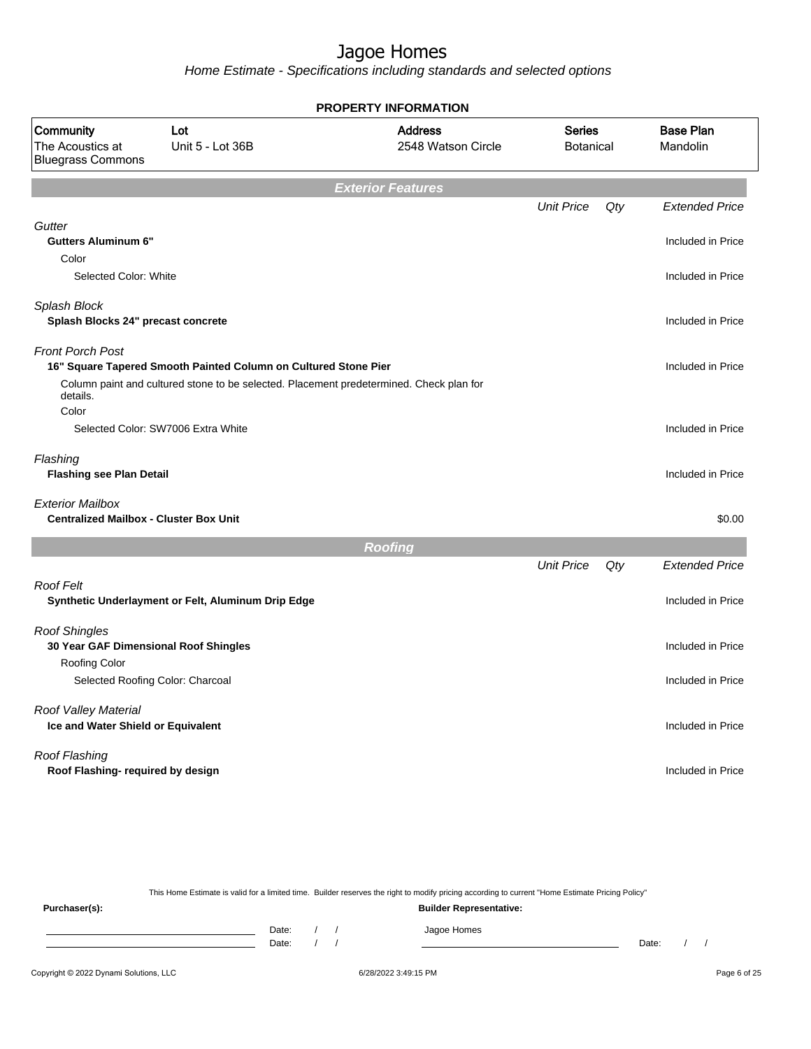Home Estimate - Specifications including standards and selected options

|                                                                          |                                                                                         | <b>PROPERTY INFORMATION</b>          |                                   |     |                              |
|--------------------------------------------------------------------------|-----------------------------------------------------------------------------------------|--------------------------------------|-----------------------------------|-----|------------------------------|
| Community<br>The Acoustics at<br><b>Bluegrass Commons</b>                | Lot<br>Unit 5 - Lot 36B                                                                 | <b>Address</b><br>2548 Watson Circle | <b>Series</b><br><b>Botanical</b> |     | <b>Base Plan</b><br>Mandolin |
|                                                                          |                                                                                         | <b>Exterior Features</b>             |                                   |     |                              |
|                                                                          |                                                                                         |                                      | <b>Unit Price</b>                 | Qty | <b>Extended Price</b>        |
| Gutter<br><b>Gutters Aluminum 6"</b>                                     |                                                                                         |                                      |                                   |     | Included in Price            |
| Color<br>Selected Color: White                                           |                                                                                         |                                      |                                   |     | Included in Price            |
| Splash Block<br>Splash Blocks 24" precast concrete                       |                                                                                         |                                      |                                   |     | Included in Price            |
| <b>Front Porch Post</b>                                                  | 16" Square Tapered Smooth Painted Column on Cultured Stone Pier                         |                                      |                                   |     | Included in Price            |
| details.<br>Color                                                        | Column paint and cultured stone to be selected. Placement predetermined. Check plan for |                                      |                                   |     |                              |
|                                                                          | Selected Color: SW7006 Extra White                                                      |                                      |                                   |     | Included in Price            |
| Flashing<br><b>Flashing see Plan Detail</b>                              |                                                                                         |                                      |                                   |     | Included in Price            |
| <b>Exterior Mailbox</b><br><b>Centralized Mailbox - Cluster Box Unit</b> |                                                                                         |                                      |                                   |     | \$0.00                       |
|                                                                          |                                                                                         | <b>Roofing</b>                       |                                   |     |                              |
|                                                                          |                                                                                         |                                      | <b>Unit Price</b>                 | Qty | <b>Extended Price</b>        |
| <b>Roof Felt</b>                                                         | Synthetic Underlayment or Felt, Aluminum Drip Edge                                      |                                      |                                   |     | Included in Price            |
| <b>Roof Shingles</b>                                                     | 30 Year GAF Dimensional Roof Shingles                                                   |                                      |                                   |     | Included in Price            |
| <b>Roofing Color</b>                                                     | Selected Roofing Color: Charcoal                                                        |                                      |                                   |     | Included in Price            |
| Roof Valley Material<br>Ice and Water Shield or Equivalent               |                                                                                         |                                      |                                   |     | Included in Price            |
| Roof Flashing<br>Roof Flashing- required by design                       |                                                                                         |                                      |                                   |     | Included in Price            |
|                                                                          |                                                                                         |                                      |                                   |     |                              |

This Home Estimate is valid for a limited time. Builder reserves the right to modify pricing according to current "Home Estimate Pricing Policy" **Purchaser(s): Builder Representative:** Date: / / Jagoe Homes<br>Date: / / Jagoe Homes Date: / / Date: / /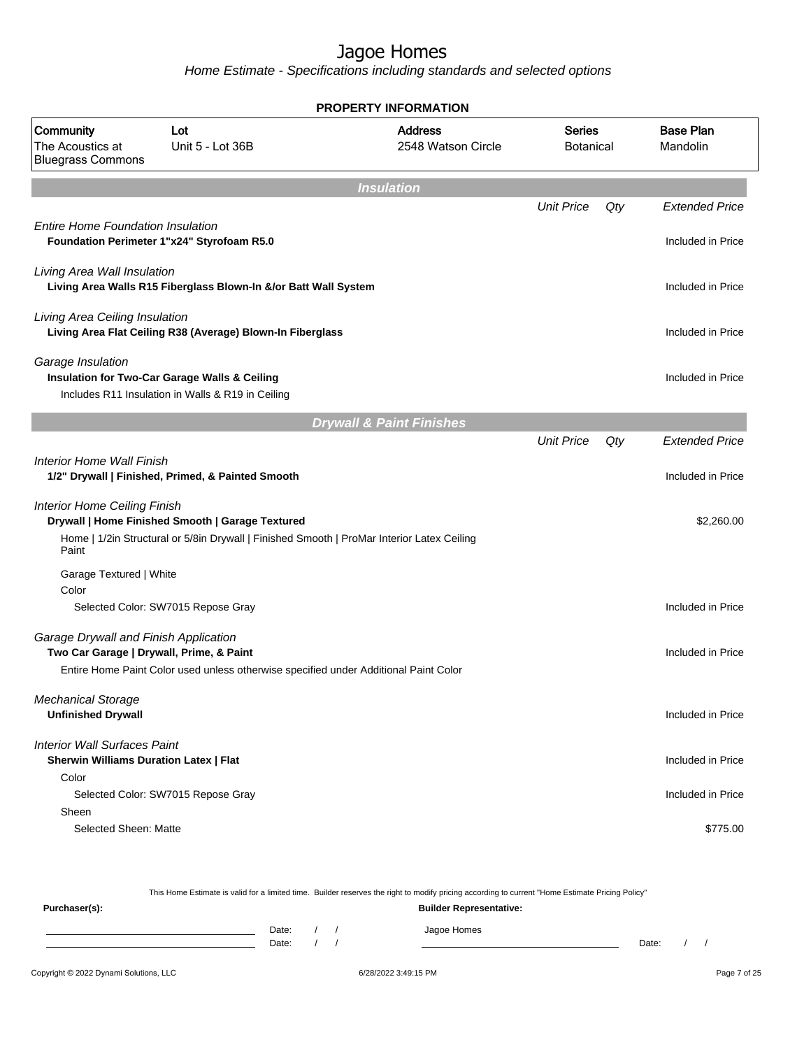Home Estimate - Specifications including standards and selected options

|                                                           |                                                                                                    | <b>PROPERTY INFORMATION</b>          |                                   |     |                              |
|-----------------------------------------------------------|----------------------------------------------------------------------------------------------------|--------------------------------------|-----------------------------------|-----|------------------------------|
| Community<br>The Acoustics at<br><b>Bluegrass Commons</b> | Lot<br>Unit 5 - Lot 36B                                                                            | <b>Address</b><br>2548 Watson Circle | <b>Series</b><br><b>Botanical</b> |     | <b>Base Plan</b><br>Mandolin |
|                                                           |                                                                                                    | <b>Insulation</b>                    |                                   |     |                              |
|                                                           |                                                                                                    |                                      | <b>Unit Price</b>                 | Qty | <b>Extended Price</b>        |
| <b>Entire Home Foundation Insulation</b>                  | Foundation Perimeter 1"x24" Styrofoam R5.0                                                         |                                      |                                   |     | Included in Price            |
| Living Area Wall Insulation                               | Living Area Walls R15 Fiberglass Blown-In &/or Batt Wall System                                    |                                      |                                   |     | Included in Price            |
| Living Area Ceiling Insulation                            | Living Area Flat Ceiling R38 (Average) Blown-In Fiberglass                                         |                                      |                                   |     | Included in Price            |
| Garage Insulation                                         | Insulation for Two-Car Garage Walls & Ceiling<br>Includes R11 Insulation in Walls & R19 in Ceiling |                                      |                                   |     | Included in Price            |
|                                                           |                                                                                                    | <b>Drywall &amp; Paint Finishes</b>  |                                   |     |                              |
|                                                           |                                                                                                    |                                      | <b>Unit Price</b>                 | Qty | <b>Extended Price</b>        |
| Interior Home Wall Finish                                 | 1/2" Drywall   Finished, Primed, & Painted Smooth                                                  |                                      |                                   |     | Included in Price            |
| <b>Interior Home Ceiling Finish</b>                       | Drywall   Home Finished Smooth   Garage Textured                                                   |                                      |                                   |     | \$2,260.00                   |
| Paint                                                     | Home   1/2in Structural or 5/8in Drywall   Finished Smooth   ProMar Interior Latex Ceiling         |                                      |                                   |     |                              |
| Garage Textured   White                                   |                                                                                                    |                                      |                                   |     |                              |
| Color                                                     | Selected Color: SW7015 Repose Gray                                                                 |                                      |                                   |     | Included in Price            |
| Garage Drywall and Finish Application                     | Two Car Garage   Drywall, Prime, & Paint                                                           |                                      |                                   |     | Included in Price            |
|                                                           | Entire Home Paint Color used unless otherwise specified under Additional Paint Color               |                                      |                                   |     |                              |
| <b>Mechanical Storage</b><br><b>Unfinished Drywall</b>    |                                                                                                    |                                      |                                   |     | Included in Price            |
| <b>Interior Wall Surfaces Paint</b>                       | <b>Sherwin Williams Duration Latex   Flat</b>                                                      |                                      |                                   |     | Included in Price            |
| Color                                                     | Selected Color: SW7015 Repose Gray                                                                 |                                      |                                   |     | Included in Price            |
| Sheen                                                     |                                                                                                    |                                      |                                   |     |                              |
| Selected Sheen: Matte                                     |                                                                                                    |                                      |                                   |     | \$775.00                     |

This Home Estimate is valid for a limited time. Builder reserves the right to modify pricing according to current "Home Estimate Pricing Policy" **Purchaser(s): Builder Representative:** Date: / / Jagoe Homes<br>Date: / / Jagoe Homes Date: / / **Date: / / 2006** Date: / / / Date: / / /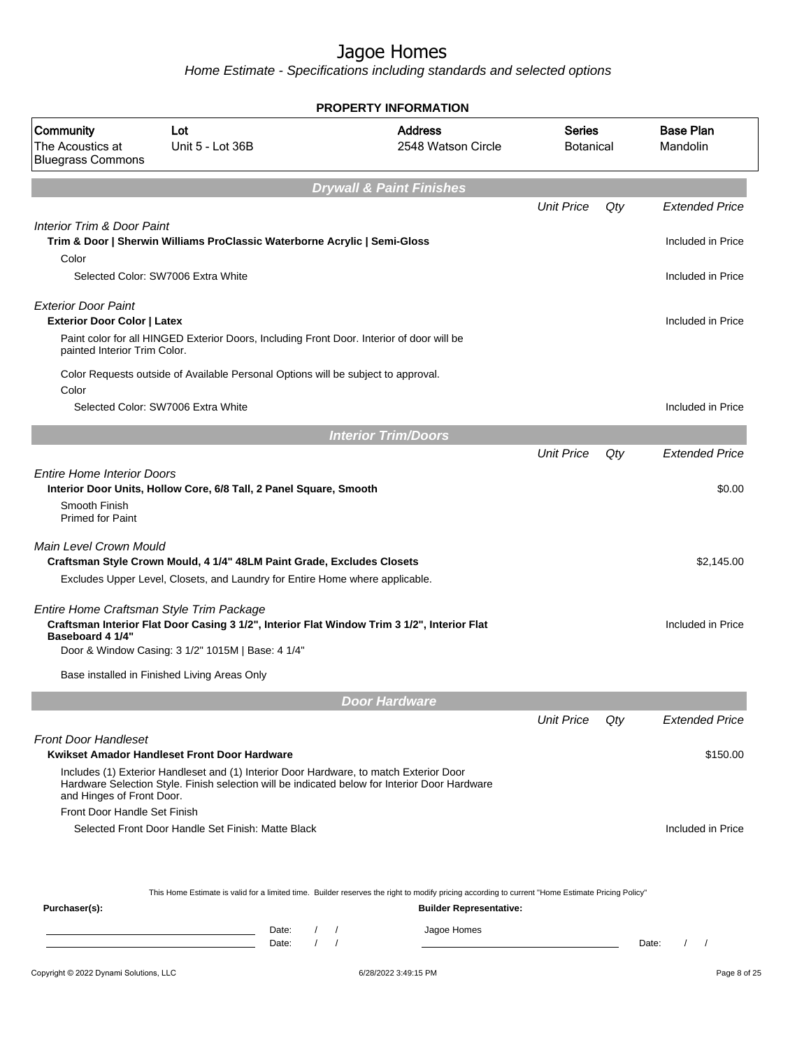|                                                                  |                                                                                                                                                                                                                         | <b>PROPERTY INFORMATION</b>                                                                                                                      |                                   |     |                                               |
|------------------------------------------------------------------|-------------------------------------------------------------------------------------------------------------------------------------------------------------------------------------------------------------------------|--------------------------------------------------------------------------------------------------------------------------------------------------|-----------------------------------|-----|-----------------------------------------------|
| Community<br>The Acoustics at<br><b>Bluegrass Commons</b>        | Lot<br>Unit 5 - Lot 36B                                                                                                                                                                                                 | <b>Address</b><br>2548 Watson Circle                                                                                                             | <b>Series</b><br><b>Botanical</b> |     | <b>Base Plan</b><br>Mandolin                  |
|                                                                  |                                                                                                                                                                                                                         | <b>Drywall &amp; Paint Finishes</b>                                                                                                              |                                   |     |                                               |
|                                                                  |                                                                                                                                                                                                                         |                                                                                                                                                  | <b>Unit Price</b>                 | Qty | <b>Extended Price</b>                         |
| <b>Interior Trim &amp; Door Paint</b><br>Color                   | Trim & Door   Sherwin Williams ProClassic Waterborne Acrylic   Semi-Gloss                                                                                                                                               |                                                                                                                                                  |                                   |     | Included in Price                             |
|                                                                  | Selected Color: SW7006 Extra White                                                                                                                                                                                      |                                                                                                                                                  |                                   |     | Included in Price                             |
| <b>Exterior Door Paint</b><br><b>Exterior Door Color   Latex</b> | Paint color for all HINGED Exterior Doors, Including Front Door. Interior of door will be                                                                                                                               |                                                                                                                                                  |                                   |     | Included in Price                             |
| painted Interior Trim Color.                                     |                                                                                                                                                                                                                         |                                                                                                                                                  |                                   |     |                                               |
| Color                                                            | Color Requests outside of Available Personal Options will be subject to approval.                                                                                                                                       |                                                                                                                                                  |                                   |     |                                               |
|                                                                  | Selected Color: SW7006 Extra White                                                                                                                                                                                      |                                                                                                                                                  |                                   |     | Included in Price                             |
|                                                                  |                                                                                                                                                                                                                         | <b>Interior Trim/Doors</b>                                                                                                                       |                                   |     |                                               |
|                                                                  |                                                                                                                                                                                                                         |                                                                                                                                                  | <b>Unit Price</b>                 | Qty | <b>Extended Price</b>                         |
| <b>Entire Home Interior Doors</b>                                | Interior Door Units, Hollow Core, 6/8 Tall, 2 Panel Square, Smooth                                                                                                                                                      |                                                                                                                                                  |                                   |     | \$0.00                                        |
| Smooth Finish<br>Primed for Paint                                |                                                                                                                                                                                                                         |                                                                                                                                                  |                                   |     |                                               |
| Main Level Crown Mould                                           | Craftsman Style Crown Mould, 4 1/4" 48LM Paint Grade, Excludes Closets                                                                                                                                                  |                                                                                                                                                  |                                   |     | \$2,145.00                                    |
|                                                                  | Excludes Upper Level, Closets, and Laundry for Entire Home where applicable.                                                                                                                                            |                                                                                                                                                  |                                   |     |                                               |
| Entire Home Craftsman Style Trim Package<br>Baseboard 4 1/4"     | Craftsman Interior Flat Door Casing 3 1/2", Interior Flat Window Trim 3 1/2", Interior Flat                                                                                                                             |                                                                                                                                                  |                                   |     | Included in Price                             |
|                                                                  | Door & Window Casing: 3 1/2" 1015M   Base: 4 1/4"                                                                                                                                                                       |                                                                                                                                                  |                                   |     |                                               |
|                                                                  | Base installed in Finished Living Areas Only                                                                                                                                                                            |                                                                                                                                                  |                                   |     |                                               |
|                                                                  |                                                                                                                                                                                                                         | <b>Door Hardware</b>                                                                                                                             |                                   |     |                                               |
|                                                                  |                                                                                                                                                                                                                         |                                                                                                                                                  | <b>Unit Price</b>                 | Qty | <b>Extended Price</b>                         |
| <b>Front Door Handleset</b>                                      | Kwikset Amador Handleset Front Door Hardware                                                                                                                                                                            |                                                                                                                                                  |                                   |     |                                               |
| and Hinges of Front Door.                                        | Includes (1) Exterior Handleset and (1) Interior Door Hardware, to match Exterior Door<br>Hardware Selection Style. Finish selection will be indicated below for Interior Door Hardware                                 |                                                                                                                                                  |                                   |     | \$150.00                                      |
| Front Door Handle Set Finish                                     | Selected Front Door Handle Set Finish: Matte Black                                                                                                                                                                      |                                                                                                                                                  |                                   |     | Included in Price                             |
|                                                                  |                                                                                                                                                                                                                         | This Home Estimate is valid for a limited time. Builder reserves the right to modify pricing according to current "Home Estimate Pricing Policy" |                                   |     |                                               |
| Purchaser(s):                                                    |                                                                                                                                                                                                                         | <b>Builder Representative:</b>                                                                                                                   |                                   |     |                                               |
|                                                                  | Date:<br>$\prime$<br><u> 1989 - Johann Barn, mars ann an t-Amhain an t-Amhain an t-Amhain an t-Amhain an t-Amhain an t-Amhain an t-Amh</u><br>Date:<br>$\prime$<br><u> 1989 - Johann Barn, fransk politik (d. 1989)</u> | Jagoe Homes<br>$\sqrt{ }$<br>$\prime$                                                                                                            |                                   |     | Date:<br>$\prime$<br>$\overline{\phantom{a}}$ |
|                                                                  |                                                                                                                                                                                                                         |                                                                                                                                                  |                                   |     |                                               |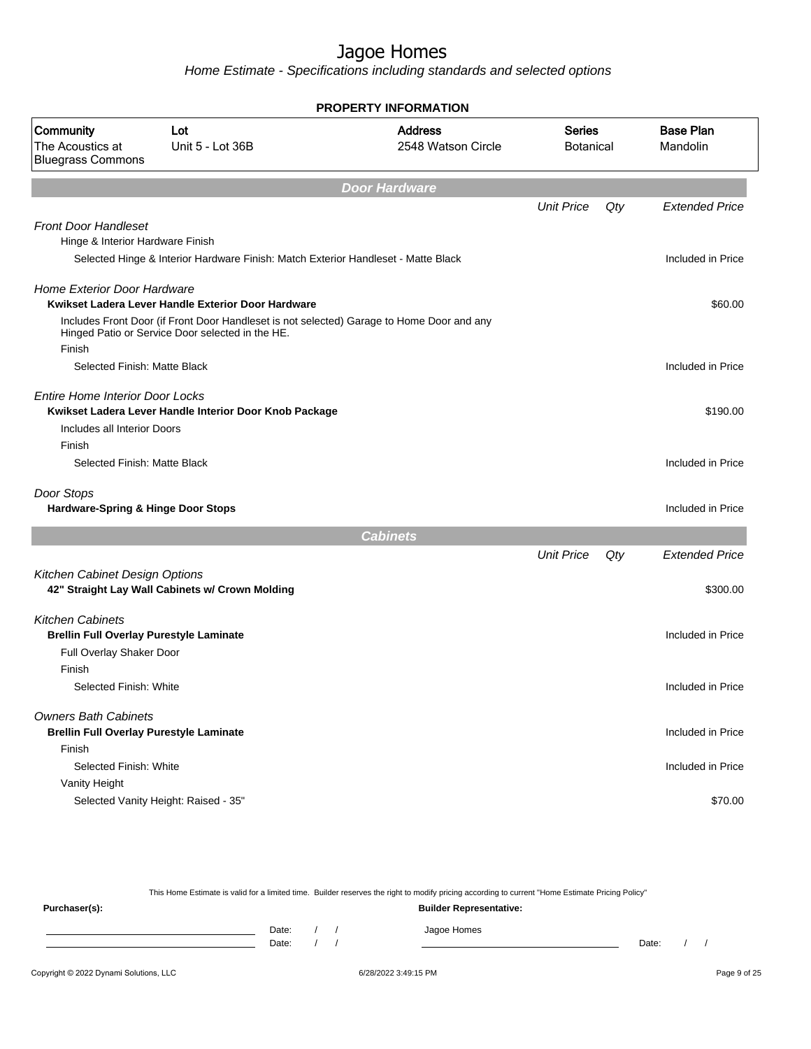Home Estimate - Specifications including standards and selected options

| <b>PROPERTY INFORMATION</b>                                                                           |                                                                                                                                               |                                      |                                   |     |                              |  |  |  |
|-------------------------------------------------------------------------------------------------------|-----------------------------------------------------------------------------------------------------------------------------------------------|--------------------------------------|-----------------------------------|-----|------------------------------|--|--|--|
| Community<br>The Acoustics at<br><b>Bluegrass Commons</b>                                             | Lot<br>Unit 5 - Lot 36B                                                                                                                       | <b>Address</b><br>2548 Watson Circle | <b>Series</b><br><b>Botanical</b> |     | <b>Base Plan</b><br>Mandolin |  |  |  |
|                                                                                                       |                                                                                                                                               | <b>Door Hardware</b>                 |                                   |     |                              |  |  |  |
|                                                                                                       |                                                                                                                                               |                                      | <b>Unit Price</b>                 | Qty | <b>Extended Price</b>        |  |  |  |
| <b>Front Door Handleset</b><br>Hinge & Interior Hardware Finish                                       |                                                                                                                                               |                                      |                                   |     |                              |  |  |  |
|                                                                                                       | Selected Hinge & Interior Hardware Finish: Match Exterior Handleset - Matte Black                                                             |                                      |                                   |     | Included in Price            |  |  |  |
| <b>Home Exterior Door Hardware</b>                                                                    | Kwikset Ladera Lever Handle Exterior Door Hardware                                                                                            |                                      |                                   |     | \$60.00                      |  |  |  |
| Finish                                                                                                | Includes Front Door (if Front Door Handleset is not selected) Garage to Home Door and any<br>Hinged Patio or Service Door selected in the HE. |                                      |                                   |     |                              |  |  |  |
| Selected Finish: Matte Black                                                                          |                                                                                                                                               |                                      |                                   |     | Included in Price            |  |  |  |
| <b>Entire Home Interior Door Locks</b>                                                                | Kwikset Ladera Lever Handle Interior Door Knob Package                                                                                        |                                      |                                   |     | \$190.00                     |  |  |  |
| Includes all Interior Doors                                                                           |                                                                                                                                               |                                      |                                   |     |                              |  |  |  |
| Finish<br>Selected Finish: Matte Black                                                                |                                                                                                                                               |                                      |                                   |     | Included in Price            |  |  |  |
|                                                                                                       |                                                                                                                                               |                                      |                                   |     |                              |  |  |  |
| Door Stops<br>Hardware-Spring & Hinge Door Stops                                                      |                                                                                                                                               |                                      |                                   |     | Included in Price            |  |  |  |
|                                                                                                       |                                                                                                                                               | <b>Cabinets</b>                      |                                   |     |                              |  |  |  |
|                                                                                                       |                                                                                                                                               |                                      | <b>Unit Price</b>                 | Qty | <b>Extended Price</b>        |  |  |  |
| Kitchen Cabinet Design Options                                                                        | 42" Straight Lay Wall Cabinets w/ Crown Molding                                                                                               |                                      |                                   |     | \$300.00                     |  |  |  |
| <b>Kitchen Cabinets</b><br><b>Brellin Full Overlay Purestyle Laminate</b><br>Full Overlay Shaker Door |                                                                                                                                               |                                      |                                   |     | Included in Price            |  |  |  |
| Finish<br>Selected Finish: White                                                                      |                                                                                                                                               |                                      |                                   |     | Included in Price            |  |  |  |
| <b>Owners Bath Cabinets</b><br><b>Brellin Full Overlay Purestyle Laminate</b><br>Finish               |                                                                                                                                               |                                      |                                   |     | Included in Price            |  |  |  |
| Selected Finish: White                                                                                |                                                                                                                                               |                                      |                                   |     | Included in Price            |  |  |  |
| Vanity Height                                                                                         | Selected Vanity Height: Raised - 35"                                                                                                          |                                      |                                   |     | \$70.00                      |  |  |  |

This Home Estimate is valid for a limited time. Builder reserves the right to modify pricing according to current "Home Estimate Pricing Policy" **Purchaser(s): Builder Representative:** Date: / / Jagoe Homes<br>Date: / / Jagoe Homes Date: / / **Date: / / 2006** Date: / / / Date: / / /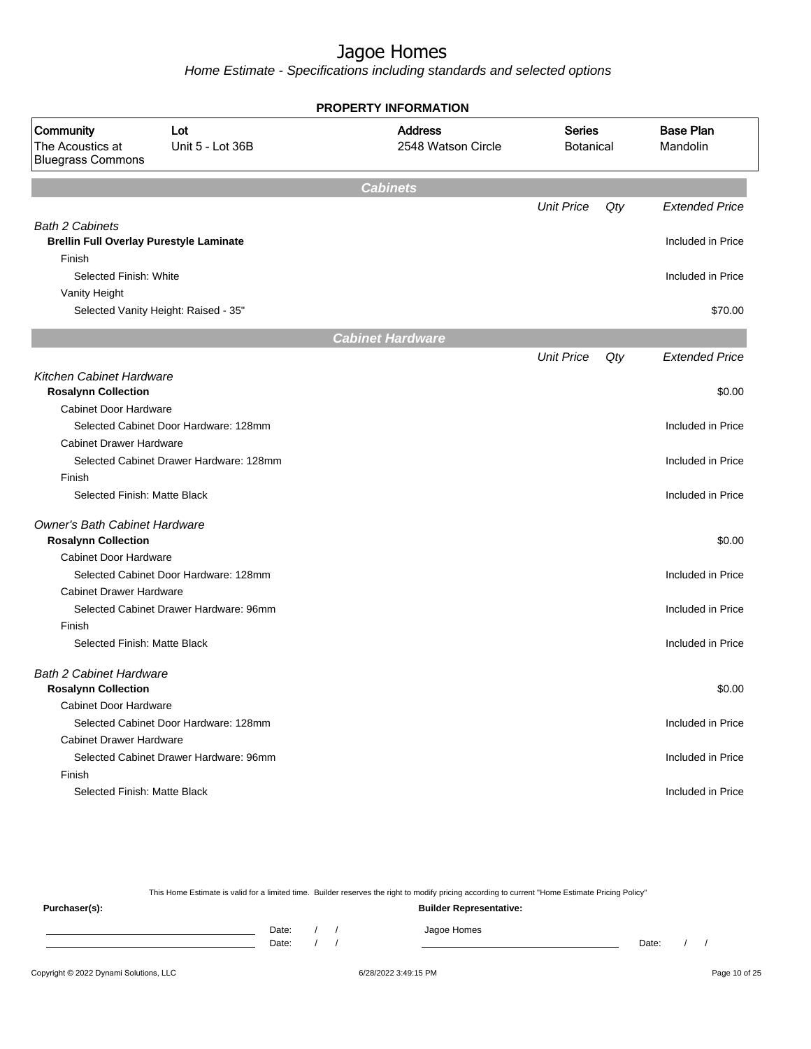Home Estimate - Specifications including standards and selected options

| <b>PROPERTY INFORMATION</b>                                              |                                         |                                      |                                   |     |                              |  |  |
|--------------------------------------------------------------------------|-----------------------------------------|--------------------------------------|-----------------------------------|-----|------------------------------|--|--|
| Community<br>The Acoustics at<br><b>Bluegrass Commons</b>                | Lot<br>Unit 5 - Lot 36B                 | <b>Address</b><br>2548 Watson Circle | <b>Series</b><br><b>Botanical</b> |     | <b>Base Plan</b><br>Mandolin |  |  |
|                                                                          |                                         | <b>Cabinets</b>                      |                                   |     |                              |  |  |
|                                                                          |                                         |                                      | <b>Unit Price</b>                 | Qty | <b>Extended Price</b>        |  |  |
| <b>Bath 2 Cabinets</b><br><b>Brellin Full Overlay Purestyle Laminate</b> |                                         |                                      |                                   |     | Included in Price            |  |  |
| Finish<br>Selected Finish: White                                         |                                         |                                      |                                   |     | Included in Price            |  |  |
| Vanity Height                                                            |                                         |                                      |                                   |     |                              |  |  |
|                                                                          | Selected Vanity Height: Raised - 35"    |                                      |                                   |     | \$70.00                      |  |  |
|                                                                          |                                         | <b>Cabinet Hardware</b>              |                                   |     |                              |  |  |
|                                                                          |                                         |                                      | <b>Unit Price</b>                 | Qty | <b>Extended Price</b>        |  |  |
| Kitchen Cabinet Hardware<br><b>Rosalynn Collection</b>                   |                                         |                                      |                                   |     | \$0.00                       |  |  |
| <b>Cabinet Door Hardware</b>                                             |                                         |                                      |                                   |     |                              |  |  |
| <b>Cabinet Drawer Hardware</b>                                           | Selected Cabinet Door Hardware: 128mm   |                                      |                                   |     | Included in Price            |  |  |
|                                                                          | Selected Cabinet Drawer Hardware: 128mm |                                      |                                   |     | Included in Price            |  |  |
| Finish                                                                   |                                         |                                      |                                   |     |                              |  |  |
| Selected Finish: Matte Black                                             |                                         |                                      |                                   |     | Included in Price            |  |  |
| Owner's Bath Cabinet Hardware<br><b>Rosalynn Collection</b>              |                                         |                                      |                                   |     | \$0.00                       |  |  |
| <b>Cabinet Door Hardware</b>                                             |                                         |                                      |                                   |     |                              |  |  |
|                                                                          | Selected Cabinet Door Hardware: 128mm   |                                      |                                   |     | Included in Price            |  |  |
| <b>Cabinet Drawer Hardware</b>                                           |                                         |                                      |                                   |     |                              |  |  |
|                                                                          | Selected Cabinet Drawer Hardware: 96mm  |                                      |                                   |     | Included in Price            |  |  |
| Finish                                                                   |                                         |                                      |                                   |     |                              |  |  |
| Selected Finish: Matte Black                                             |                                         |                                      |                                   |     | Included in Price            |  |  |
| <b>Bath 2 Cabinet Hardware</b><br><b>Rosalynn Collection</b>             |                                         |                                      |                                   |     | \$0.00                       |  |  |
| <b>Cabinet Door Hardware</b>                                             |                                         |                                      |                                   |     |                              |  |  |
|                                                                          | Selected Cabinet Door Hardware: 128mm   |                                      |                                   |     | Included in Price            |  |  |
| <b>Cabinet Drawer Hardware</b>                                           |                                         |                                      |                                   |     |                              |  |  |
|                                                                          | Selected Cabinet Drawer Hardware: 96mm  |                                      |                                   |     | Included in Price            |  |  |
| Finish                                                                   |                                         |                                      |                                   |     |                              |  |  |
| Selected Finish: Matte Black                                             |                                         |                                      |                                   |     | Included in Price            |  |  |
|                                                                          |                                         |                                      |                                   |     |                              |  |  |

This Home Estimate is valid for a limited time. Builder reserves the right to modify pricing according to current "Home Estimate Pricing Policy"

**Purchaser(s): Builder Representative:** Date: / / Jagoe Homes<br>Date: / / Jagoe Homes Date: / / **Date: / / 2006** Date: / / / Date: / / /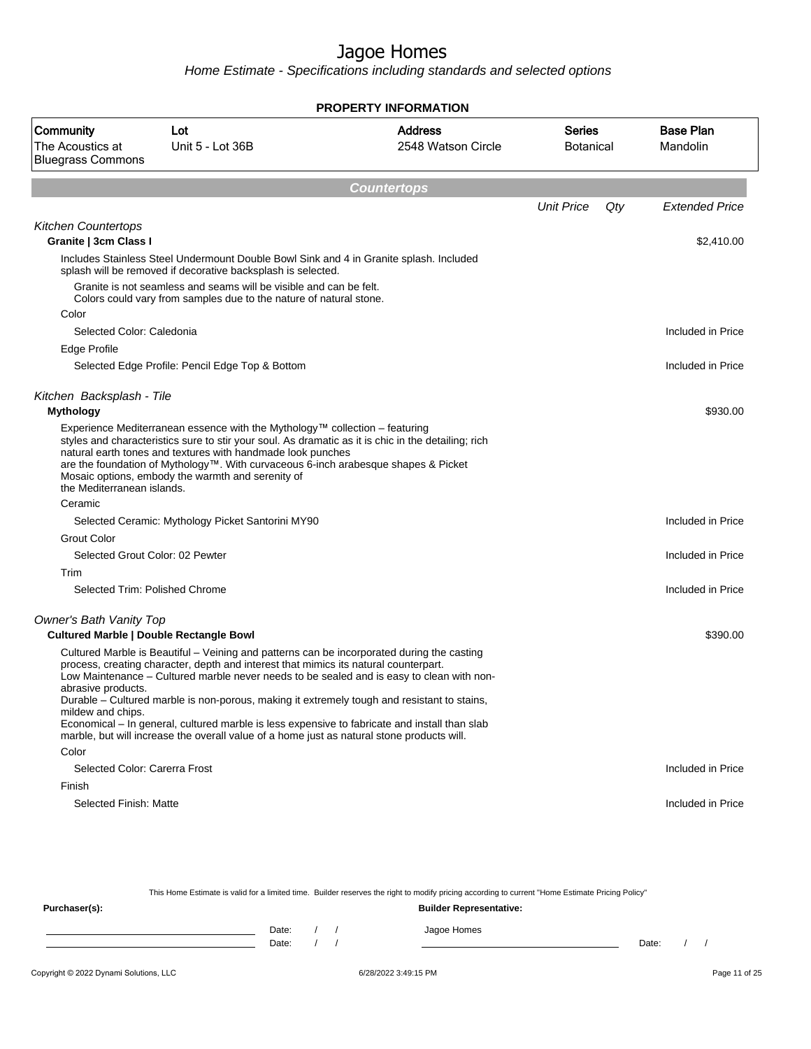Home Estimate - Specifications including standards and selected options

| <b>PROPERTY INFORMATION</b>                               |                                                                                                                                                                                                                                                                                                                                                                                                                                                                                                                                                                               |                                      |                            |                              |  |  |  |  |
|-----------------------------------------------------------|-------------------------------------------------------------------------------------------------------------------------------------------------------------------------------------------------------------------------------------------------------------------------------------------------------------------------------------------------------------------------------------------------------------------------------------------------------------------------------------------------------------------------------------------------------------------------------|--------------------------------------|----------------------------|------------------------------|--|--|--|--|
| Community<br>The Acoustics at<br><b>Bluegrass Commons</b> | Lot<br>Unit 5 - Lot 36B                                                                                                                                                                                                                                                                                                                                                                                                                                                                                                                                                       | <b>Address</b><br>2548 Watson Circle | Series<br><b>Botanical</b> | <b>Base Plan</b><br>Mandolin |  |  |  |  |
|                                                           |                                                                                                                                                                                                                                                                                                                                                                                                                                                                                                                                                                               | <b>Countertops</b>                   |                            |                              |  |  |  |  |
|                                                           |                                                                                                                                                                                                                                                                                                                                                                                                                                                                                                                                                                               |                                      | <b>Unit Price</b><br>Qty   | <b>Extended Price</b>        |  |  |  |  |
| <b>Kitchen Countertops</b>                                |                                                                                                                                                                                                                                                                                                                                                                                                                                                                                                                                                                               |                                      |                            |                              |  |  |  |  |
| Granite   3cm Class I                                     |                                                                                                                                                                                                                                                                                                                                                                                                                                                                                                                                                                               |                                      |                            | \$2,410.00                   |  |  |  |  |
|                                                           | Includes Stainless Steel Undermount Double Bowl Sink and 4 in Granite splash. Included<br>splash will be removed if decorative backsplash is selected.                                                                                                                                                                                                                                                                                                                                                                                                                        |                                      |                            |                              |  |  |  |  |
|                                                           | Granite is not seamless and seams will be visible and can be felt.<br>Colors could vary from samples due to the nature of natural stone.                                                                                                                                                                                                                                                                                                                                                                                                                                      |                                      |                            |                              |  |  |  |  |
| Color                                                     |                                                                                                                                                                                                                                                                                                                                                                                                                                                                                                                                                                               |                                      |                            |                              |  |  |  |  |
| Selected Color: Caledonia                                 |                                                                                                                                                                                                                                                                                                                                                                                                                                                                                                                                                                               |                                      |                            | Included in Price            |  |  |  |  |
| Edge Profile                                              |                                                                                                                                                                                                                                                                                                                                                                                                                                                                                                                                                                               |                                      |                            |                              |  |  |  |  |
|                                                           | Selected Edge Profile: Pencil Edge Top & Bottom                                                                                                                                                                                                                                                                                                                                                                                                                                                                                                                               |                                      |                            | Included in Price            |  |  |  |  |
| Kitchen Backsplash - Tile                                 |                                                                                                                                                                                                                                                                                                                                                                                                                                                                                                                                                                               |                                      |                            |                              |  |  |  |  |
| <b>Mythology</b>                                          |                                                                                                                                                                                                                                                                                                                                                                                                                                                                                                                                                                               |                                      |                            | \$930.00                     |  |  |  |  |
| the Mediterranean islands.                                | Experience Mediterranean essence with the Mythology™ collection – featuring<br>styles and characteristics sure to stir your soul. As dramatic as it is chic in the detailing; rich<br>natural earth tones and textures with handmade look punches<br>are the foundation of Mythology™. With curvaceous 6-inch arabesque shapes & Picket<br>Mosaic options, embody the warmth and serenity of                                                                                                                                                                                  |                                      |                            |                              |  |  |  |  |
| Ceramic                                                   |                                                                                                                                                                                                                                                                                                                                                                                                                                                                                                                                                                               |                                      |                            |                              |  |  |  |  |
|                                                           | Selected Ceramic: Mythology Picket Santorini MY90                                                                                                                                                                                                                                                                                                                                                                                                                                                                                                                             |                                      |                            | Included in Price            |  |  |  |  |
| <b>Grout Color</b>                                        |                                                                                                                                                                                                                                                                                                                                                                                                                                                                                                                                                                               |                                      |                            |                              |  |  |  |  |
|                                                           | Selected Grout Color: 02 Pewter                                                                                                                                                                                                                                                                                                                                                                                                                                                                                                                                               |                                      |                            | Included in Price            |  |  |  |  |
| Trim                                                      |                                                                                                                                                                                                                                                                                                                                                                                                                                                                                                                                                                               |                                      |                            |                              |  |  |  |  |
|                                                           | Selected Trim: Polished Chrome                                                                                                                                                                                                                                                                                                                                                                                                                                                                                                                                                |                                      |                            | Included in Price            |  |  |  |  |
| Owner's Bath Vanity Top                                   | <b>Cultured Marble   Double Rectangle Bowl</b>                                                                                                                                                                                                                                                                                                                                                                                                                                                                                                                                |                                      |                            | \$390.00                     |  |  |  |  |
| abrasive products.<br>mildew and chips.                   | Cultured Marble is Beautiful – Veining and patterns can be incorporated during the casting<br>process, creating character, depth and interest that mimics its natural counterpart.<br>Low Maintenance – Cultured marble never needs to be sealed and is easy to clean with non-<br>Durable – Cultured marble is non-porous, making it extremely tough and resistant to stains,<br>Economical – In general, cultured marble is less expensive to fabricate and install than slab<br>marble, but will increase the overall value of a home just as natural stone products will. |                                      |                            |                              |  |  |  |  |
| Color                                                     |                                                                                                                                                                                                                                                                                                                                                                                                                                                                                                                                                                               |                                      |                            |                              |  |  |  |  |
| Selected Color: Carerra Frost                             |                                                                                                                                                                                                                                                                                                                                                                                                                                                                                                                                                                               |                                      |                            | Included in Price            |  |  |  |  |
| Finish                                                    |                                                                                                                                                                                                                                                                                                                                                                                                                                                                                                                                                                               |                                      |                            |                              |  |  |  |  |
| Selected Finish: Matte                                    |                                                                                                                                                                                                                                                                                                                                                                                                                                                                                                                                                                               |                                      |                            | Included in Price            |  |  |  |  |

This Home Estimate is valid for a limited time. Builder reserves the right to modify pricing according to current "Home Estimate Pricing Policy"

**Purchaser(s): Builder Representative:** Date: / / Jagoe Homes<br>Date: / / Jagoe Homes Date: / / **Date: / / 2006** Date: / / **Date: / / / 2006** Date: / / / 2006 Date: / / / 2006 Date: / / / 2006 Date: / / / 2007 Date: / / / 2007 Date: / / / 2008 Date: / / / 2008 Date: / / / 2008 Date: / / / 2008 Date: / / / 2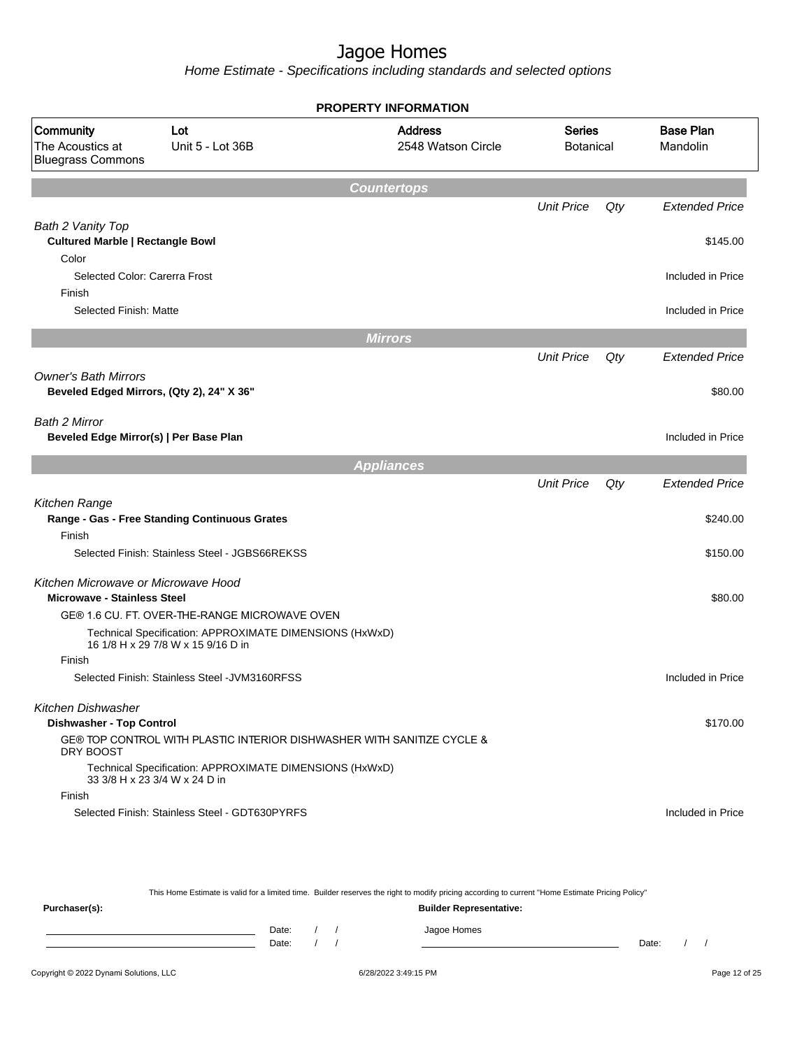|                                                                           |                                                                                               | <b>PROPERTY INFORMATION</b>          |                                   |     |                              |
|---------------------------------------------------------------------------|-----------------------------------------------------------------------------------------------|--------------------------------------|-----------------------------------|-----|------------------------------|
| Community<br>The Acoustics at<br><b>Bluegrass Commons</b>                 | Lot<br>Unit 5 - Lot 36B                                                                       | <b>Address</b><br>2548 Watson Circle | <b>Series</b><br><b>Botanical</b> |     | <b>Base Plan</b><br>Mandolin |
|                                                                           |                                                                                               | <b>Countertops</b>                   |                                   |     |                              |
|                                                                           |                                                                                               |                                      | <b>Unit Price</b>                 | Qty | <b>Extended Price</b>        |
| Bath 2 Vanity Top<br><b>Cultured Marble   Rectangle Bowl</b>              |                                                                                               |                                      |                                   |     | \$145.00                     |
| Color<br>Selected Color: Carerra Frost                                    |                                                                                               |                                      |                                   |     | Included in Price            |
| Finish<br>Selected Finish: Matte                                          |                                                                                               |                                      |                                   |     | Included in Price            |
|                                                                           |                                                                                               | <b>Mirrors</b>                       |                                   |     |                              |
|                                                                           |                                                                                               |                                      | <b>Unit Price</b>                 | Qty | <b>Extended Price</b>        |
| <b>Owner's Bath Mirrors</b>                                               | Beveled Edged Mirrors, (Qty 2), 24" X 36"                                                     |                                      |                                   |     | \$80.00                      |
| Bath 2 Mirror<br>Beveled Edge Mirror(s)   Per Base Plan                   |                                                                                               |                                      |                                   |     | Included in Price            |
|                                                                           |                                                                                               | <b>Appliances</b>                    |                                   |     |                              |
|                                                                           |                                                                                               |                                      | <b>Unit Price</b>                 | Qty | <b>Extended Price</b>        |
| Kitchen Range                                                             | Range - Gas - Free Standing Continuous Grates                                                 |                                      |                                   |     | \$240.00                     |
| Finish                                                                    | Selected Finish: Stainless Steel - JGBS66REKSS                                                |                                      |                                   |     | \$150.00                     |
|                                                                           |                                                                                               |                                      |                                   |     |                              |
| Kitchen Microwave or Microwave Hood<br><b>Microwave - Stainless Steel</b> |                                                                                               |                                      |                                   |     | \$80.00                      |
|                                                                           | GE® 1.6 CU. FT. OVER-THE-RANGE MICROWAVE OVEN                                                 |                                      |                                   |     |                              |
|                                                                           | Technical Specification: APPROXIMATE DIMENSIONS (HxWxD)<br>16 1/8 H x 29 7/8 W x 15 9/16 D in |                                      |                                   |     |                              |
| Finish                                                                    |                                                                                               |                                      |                                   |     |                              |
|                                                                           | Selected Finish: Stainless Steel - JVM3160RFSS                                                |                                      |                                   |     | Included in Price            |
| <b>Kitchen Dishwasher</b>                                                 |                                                                                               |                                      |                                   |     |                              |
| <b>Dishwasher - Top Control</b>                                           |                                                                                               |                                      |                                   |     | \$170.00                     |
| DRY BOOST                                                                 | GE® TOP CONTROL WITH PLASTIC INTERIOR DISHWASHER WITH SANITIZE CYCLE &                        |                                      |                                   |     |                              |
|                                                                           | Technical Specification: APPROXIMATE DIMENSIONS (HxWxD)<br>33 3/8 H x 23 3/4 W x 24 D in      |                                      |                                   |     |                              |
| Finish                                                                    | Selected Finish: Stainless Steel - GDT630PYRFS                                                |                                      |                                   |     |                              |
|                                                                           |                                                                                               |                                      |                                   |     | Included in Price            |

| This Home Estimate is valid for a limited time. Builder reserves the right to modify pricing according to current "Home Estimate Pricing Policy" |  |                                |  |  |             |       |  |  |
|--------------------------------------------------------------------------------------------------------------------------------------------------|--|--------------------------------|--|--|-------------|-------|--|--|
| Purchaser(s):                                                                                                                                    |  | <b>Builder Representative:</b> |  |  |             |       |  |  |
|                                                                                                                                                  |  | Date:                          |  |  | Jagoe Homes |       |  |  |
|                                                                                                                                                  |  | Date:                          |  |  |             | Date: |  |  |
|                                                                                                                                                  |  |                                |  |  |             |       |  |  |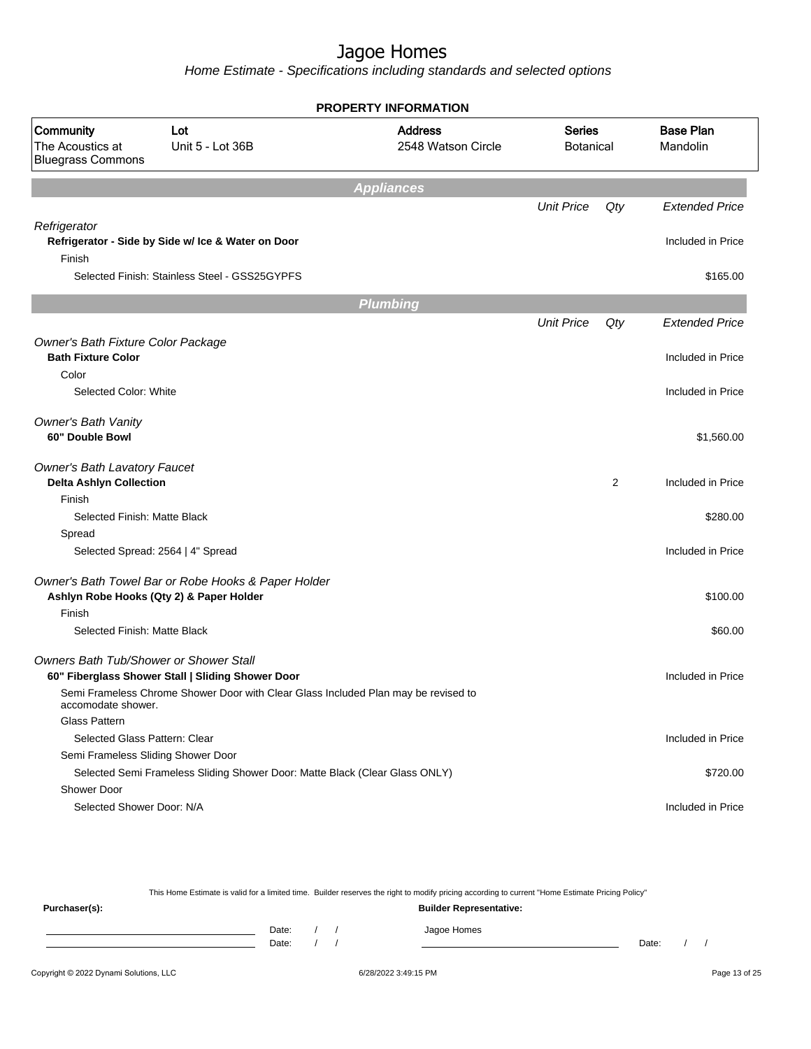Home Estimate - Specifications including standards and selected options

| <b>PROPERTY INFORMATION</b>                                              |                                                                                                                   |                                                                                    |                                   |                |                              |  |  |  |
|--------------------------------------------------------------------------|-------------------------------------------------------------------------------------------------------------------|------------------------------------------------------------------------------------|-----------------------------------|----------------|------------------------------|--|--|--|
| Community<br>The Acoustics at<br><b>Bluegrass Commons</b>                | Lot<br>Unit 5 - Lot 36B                                                                                           | <b>Address</b><br>2548 Watson Circle                                               | <b>Series</b><br><b>Botanical</b> |                | <b>Base Plan</b><br>Mandolin |  |  |  |
|                                                                          |                                                                                                                   | <b>Appliances</b>                                                                  |                                   |                |                              |  |  |  |
|                                                                          |                                                                                                                   |                                                                                    | <b>Unit Price</b>                 | Qty            | <b>Extended Price</b>        |  |  |  |
| Refrigerator<br>Finish                                                   | Refrigerator - Side by Side w/ Ice & Water on Door                                                                |                                                                                    |                                   |                | Included in Price            |  |  |  |
|                                                                          | Selected Finish: Stainless Steel - GSS25GYPFS                                                                     |                                                                                    |                                   |                | \$165.00                     |  |  |  |
|                                                                          |                                                                                                                   | <b>Plumbing</b>                                                                    |                                   |                |                              |  |  |  |
|                                                                          |                                                                                                                   |                                                                                    | <b>Unit Price</b>                 | Qty            | <b>Extended Price</b>        |  |  |  |
| Owner's Bath Fixture Color Package<br><b>Bath Fixture Color</b><br>Color |                                                                                                                   |                                                                                    |                                   |                | Included in Price            |  |  |  |
| Selected Color: White                                                    |                                                                                                                   |                                                                                    |                                   |                | Included in Price            |  |  |  |
| <b>Owner's Bath Vanity</b><br>60" Double Bowl                            |                                                                                                                   |                                                                                    |                                   |                | \$1,560.00                   |  |  |  |
| <b>Owner's Bath Lavatory Faucet</b><br><b>Delta Ashlyn Collection</b>    |                                                                                                                   |                                                                                    |                                   | $\overline{2}$ | Included in Price            |  |  |  |
| Finish<br>Selected Finish: Matte Black                                   |                                                                                                                   |                                                                                    |                                   |                | \$280.00                     |  |  |  |
| Spread                                                                   | Selected Spread: 2564   4" Spread                                                                                 |                                                                                    |                                   |                | Included in Price            |  |  |  |
|                                                                          | Owner's Bath Towel Bar or Robe Hooks & Paper Holder<br>Ashlyn Robe Hooks (Qty 2) & Paper Holder                   |                                                                                    |                                   |                | \$100.00                     |  |  |  |
| Finish<br>Selected Finish: Matte Black                                   |                                                                                                                   |                                                                                    |                                   |                | \$60.00                      |  |  |  |
|                                                                          | <b>Owners Bath Tub/Shower or Shower Stall</b><br>60" Fiberglass Shower Stall   Sliding Shower Door                | Semi Frameless Chrome Shower Door with Clear Glass Included Plan may be revised to |                                   |                | Included in Price            |  |  |  |
| accomodate shower.<br>Glass Pattern<br>Selected Glass Pattern: Clear     |                                                                                                                   |                                                                                    |                                   |                | Included in Price            |  |  |  |
|                                                                          | Semi Frameless Sliding Shower Door<br>Selected Semi Frameless Sliding Shower Door: Matte Black (Clear Glass ONLY) |                                                                                    |                                   |                | \$720.00                     |  |  |  |
| Shower Door<br>Selected Shower Door: N/A                                 |                                                                                                                   |                                                                                    |                                   |                | Included in Price            |  |  |  |

This Home Estimate is valid for a limited time. Builder reserves the right to modify pricing according to current "Home Estimate Pricing Policy" **Purchaser(s): Builder Representative:** Date: / / Jagoe Homes<br>Date: / / Jagoe Homes Date: / / **Date: / / 2006** Date: / / / Date: / / /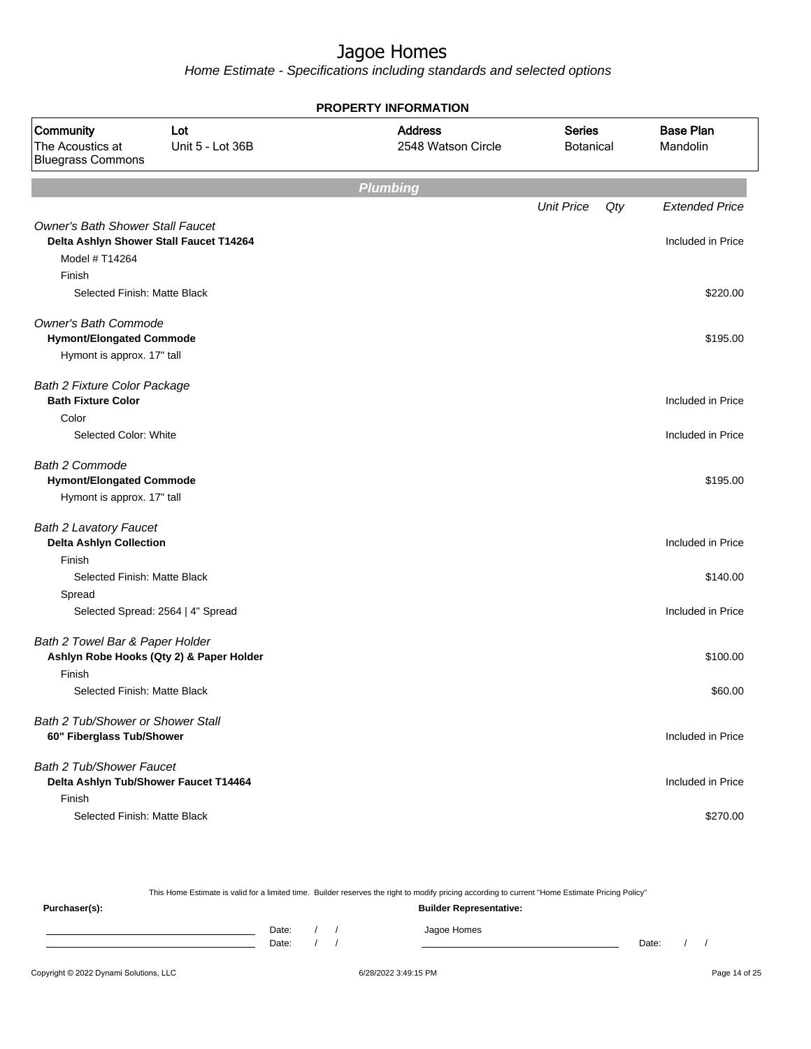Home Estimate - Specifications including standards and selected options

|                                                                                                      |                                          | <b>PROPERTY INFORMATION</b>          |                                   |                              |
|------------------------------------------------------------------------------------------------------|------------------------------------------|--------------------------------------|-----------------------------------|------------------------------|
| Community<br>The Acoustics at<br><b>Bluegrass Commons</b>                                            | Lot<br>Unit 5 - Lot 36B                  | <b>Address</b><br>2548 Watson Circle | <b>Series</b><br><b>Botanical</b> | <b>Base Plan</b><br>Mandolin |
|                                                                                                      |                                          | <b>Plumbing</b>                      |                                   |                              |
|                                                                                                      |                                          |                                      | <b>Unit Price</b><br>Qty          | <b>Extended Price</b>        |
| <b>Owner's Bath Shower Stall Faucet</b><br>Delta Ashlyn Shower Stall Faucet T14264<br>Model # T14264 |                                          |                                      |                                   | Included in Price            |
| Finish<br>Selected Finish: Matte Black                                                               |                                          |                                      |                                   | \$220.00                     |
| <b>Owner's Bath Commode</b><br><b>Hymont/Elongated Commode</b>                                       |                                          |                                      |                                   | \$195.00                     |
| Hymont is approx. 17" tall                                                                           |                                          |                                      |                                   |                              |
| <b>Bath 2 Fixture Color Package</b><br><b>Bath Fixture Color</b>                                     |                                          |                                      |                                   | Included in Price            |
| Color<br>Selected Color: White                                                                       |                                          |                                      |                                   | Included in Price            |
| <b>Bath 2 Commode</b><br><b>Hymont/Elongated Commode</b><br>Hymont is approx. 17" tall               |                                          |                                      |                                   | \$195.00                     |
| <b>Bath 2 Lavatory Faucet</b><br><b>Delta Ashlyn Collection</b>                                      |                                          |                                      |                                   | Included in Price            |
| Finish<br>Selected Finish: Matte Black                                                               |                                          |                                      |                                   |                              |
| Spread                                                                                               |                                          |                                      |                                   | \$140.00                     |
|                                                                                                      | Selected Spread: 2564   4" Spread        |                                      |                                   | Included in Price            |
| Bath 2 Towel Bar & Paper Holder                                                                      | Ashlyn Robe Hooks (Qty 2) & Paper Holder |                                      |                                   | \$100.00                     |
| Finish                                                                                               |                                          |                                      |                                   |                              |
| Selected Finish: Matte Black                                                                         |                                          |                                      |                                   | \$60.00                      |
| Bath 2 Tub/Shower or Shower Stall<br>60" Fiberglass Tub/Shower                                       |                                          |                                      |                                   | Included in Price            |
| Bath 2 Tub/Shower Faucet<br>Delta Ashlyn Tub/Shower Faucet T14464                                    |                                          |                                      |                                   | Included in Price            |
| Finish<br>Selected Finish: Matte Black                                                               |                                          |                                      |                                   | \$270.00                     |

This Home Estimate is valid for a limited time. Builder reserves the right to modify pricing according to current "Home Estimate Pricing Policy"

**Purchaser(s): Builder Representative:** Date: / / Jagoe Homes<br>Date: / / Jagoe Homes Date: / / Date: / /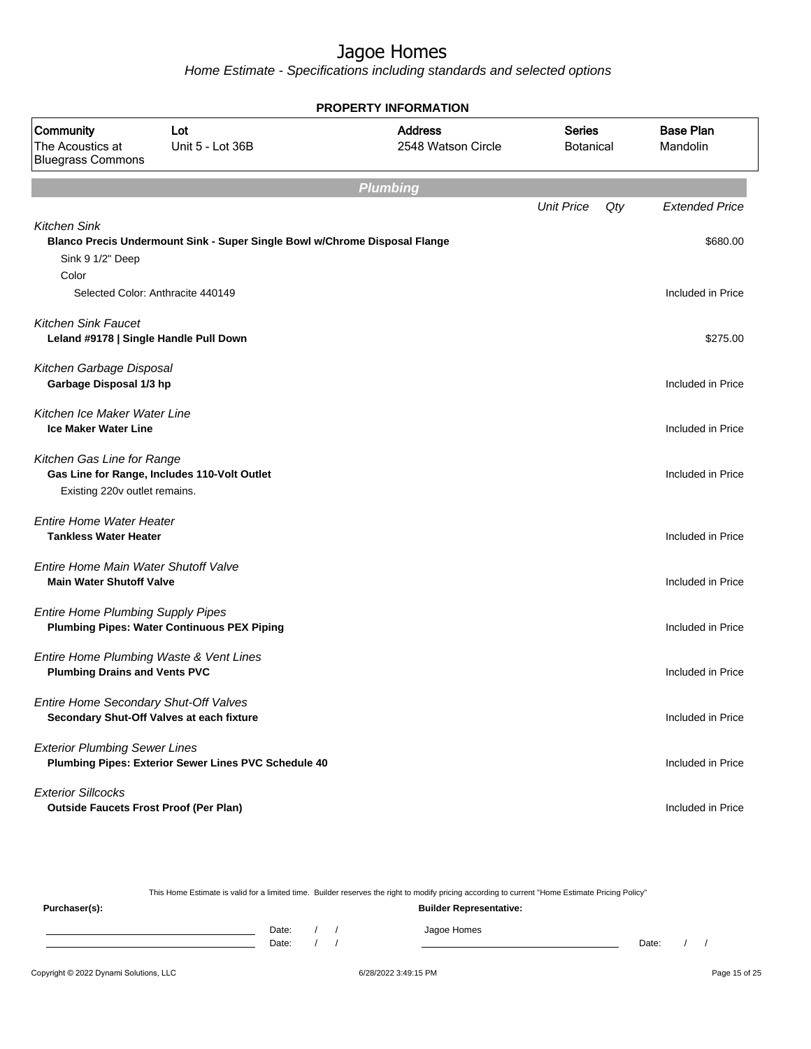Home Estimate - Specifications including standards and selected options

|                                                                                 | <b>PROPERTY INFORMATION</b>                                                |                                      |                            |                              |  |  |  |  |  |  |
|---------------------------------------------------------------------------------|----------------------------------------------------------------------------|--------------------------------------|----------------------------|------------------------------|--|--|--|--|--|--|
| Community<br>The Acoustics at<br><b>Bluegrass Commons</b>                       | Lot<br>Unit 5 - Lot 36B                                                    | <b>Address</b><br>2548 Watson Circle | <b>Series</b><br>Botanical | <b>Base Plan</b><br>Mandolin |  |  |  |  |  |  |
|                                                                                 |                                                                            | <b>Plumbing</b>                      |                            |                              |  |  |  |  |  |  |
|                                                                                 |                                                                            |                                      | <b>Unit Price</b>          | Qty<br><b>Extended Price</b> |  |  |  |  |  |  |
| <b>Kitchen Sink</b><br>Sink 9 1/2" Deep                                         | Blanco Precis Undermount Sink - Super Single Bowl w/Chrome Disposal Flange |                                      |                            | \$680.00                     |  |  |  |  |  |  |
| Color                                                                           |                                                                            |                                      |                            |                              |  |  |  |  |  |  |
|                                                                                 | Selected Color: Anthracite 440149                                          |                                      |                            | Included in Price            |  |  |  |  |  |  |
| <b>Kitchen Sink Faucet</b><br>Leland #9178   Single Handle Pull Down            |                                                                            |                                      |                            | \$275.00                     |  |  |  |  |  |  |
| Kitchen Garbage Disposal<br>Garbage Disposal 1/3 hp                             |                                                                            |                                      |                            | Included in Price            |  |  |  |  |  |  |
| Kitchen Ice Maker Water Line<br><b>Ice Maker Water Line</b>                     |                                                                            |                                      |                            | Included in Price            |  |  |  |  |  |  |
| Kitchen Gas Line for Range<br>Existing 220v outlet remains.                     | Gas Line for Range, Includes 110-Volt Outlet                               |                                      |                            | Included in Price            |  |  |  |  |  |  |
| <b>Entire Home Water Heater</b><br><b>Tankless Water Heater</b>                 |                                                                            |                                      |                            | Included in Price            |  |  |  |  |  |  |
| Entire Home Main Water Shutoff Valve<br><b>Main Water Shutoff Valve</b>         |                                                                            |                                      |                            | Included in Price            |  |  |  |  |  |  |
| <b>Entire Home Plumbing Supply Pipes</b>                                        | <b>Plumbing Pipes: Water Continuous PEX Piping</b>                         |                                      |                            | Included in Price            |  |  |  |  |  |  |
| Entire Home Plumbing Waste & Vent Lines<br><b>Plumbing Drains and Vents PVC</b> |                                                                            |                                      |                            | Included in Price            |  |  |  |  |  |  |
| Entire Home Secondary Shut-Off Valves                                           | Secondary Shut-Off Valves at each fixture                                  |                                      |                            | Included in Price            |  |  |  |  |  |  |
| <b>Exterior Plumbing Sewer Lines</b>                                            | Plumbing Pipes: Exterior Sewer Lines PVC Schedule 40                       |                                      |                            | Included in Price            |  |  |  |  |  |  |
| <b>Exterior Sillcocks</b><br><b>Outside Faucets Frost Proof (Per Plan)</b>      |                                                                            |                                      |                            | Included in Price            |  |  |  |  |  |  |

This Home Estimate is valid for a limited time. Builder reserves the right to modify pricing according to current "Home Estimate Pricing Policy"

**Purchaser(s): Builder Representative:** Date: / / Jagoe Homes<br>Date: / / Jagoe Homes Date: / / Date: / /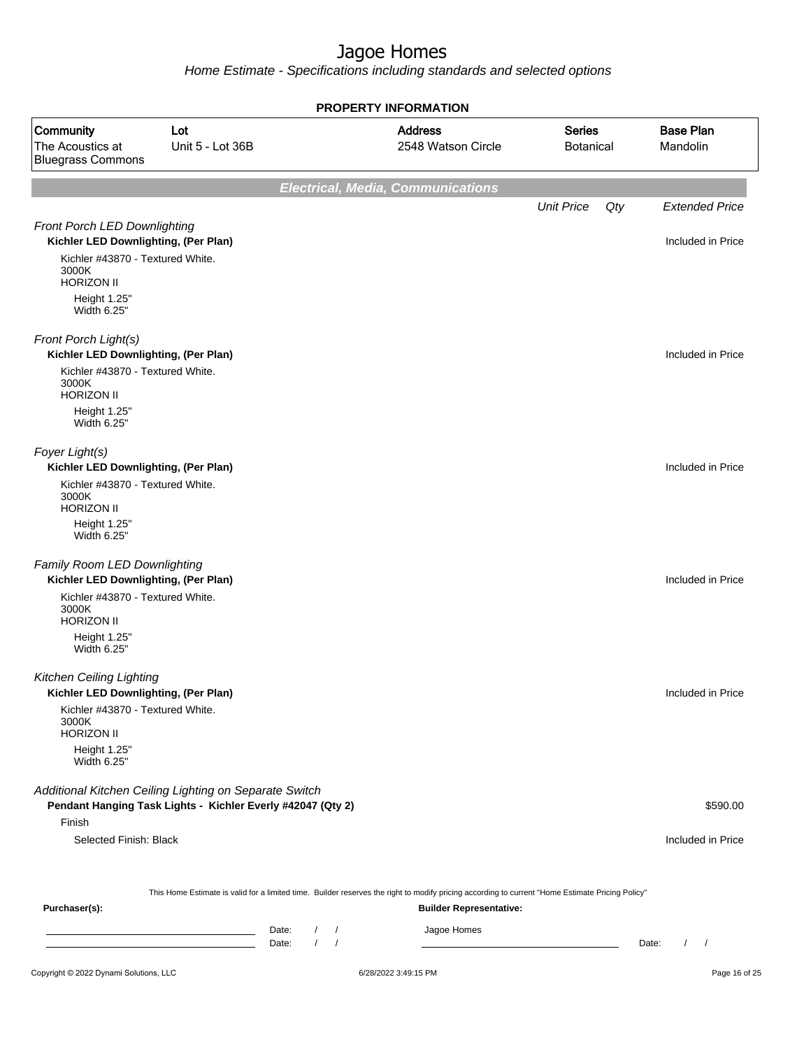|                                                                                                                       |                         |                                                        | <b>PROPERTY INFORMATION</b>                                                                                                                      |                                   |                                 |
|-----------------------------------------------------------------------------------------------------------------------|-------------------------|--------------------------------------------------------|--------------------------------------------------------------------------------------------------------------------------------------------------|-----------------------------------|---------------------------------|
| Community<br>The Acoustics at<br><b>Bluegrass Commons</b>                                                             | Lot<br>Unit 5 - Lot 36B |                                                        | <b>Address</b><br>2548 Watson Circle                                                                                                             | <b>Series</b><br><b>Botanical</b> | <b>Base Plan</b><br>Mandolin    |
|                                                                                                                       |                         |                                                        | <b>Electrical, Media, Communications</b>                                                                                                         |                                   |                                 |
|                                                                                                                       |                         |                                                        |                                                                                                                                                  | <b>Unit Price</b><br>Qty          | <b>Extended Price</b>           |
| Front Porch LED Downlighting<br>Kichler LED Downlighting, (Per Plan)                                                  |                         |                                                        |                                                                                                                                                  |                                   | Included in Price               |
| Kichler #43870 - Textured White.<br>3000K<br><b>HORIZON II</b>                                                        |                         |                                                        |                                                                                                                                                  |                                   |                                 |
| Height 1.25"<br>Width 6.25"                                                                                           |                         |                                                        |                                                                                                                                                  |                                   |                                 |
| Front Porch Light(s)<br>Kichler LED Downlighting, (Per Plan)                                                          |                         |                                                        |                                                                                                                                                  |                                   | Included in Price               |
| Kichler #43870 - Textured White.<br>3000K<br><b>HORIZON II</b>                                                        |                         |                                                        |                                                                                                                                                  |                                   |                                 |
| Height 1.25"<br>Width 6.25"                                                                                           |                         |                                                        |                                                                                                                                                  |                                   |                                 |
| Foyer Light(s)<br>Kichler LED Downlighting, (Per Plan)                                                                |                         |                                                        |                                                                                                                                                  |                                   | Included in Price               |
| Kichler #43870 - Textured White.<br>3000K<br><b>HORIZON II</b>                                                        |                         |                                                        |                                                                                                                                                  |                                   |                                 |
| Height 1.25"<br>Width 6.25"                                                                                           |                         |                                                        |                                                                                                                                                  |                                   |                                 |
| Family Room LED Downlighting<br>Kichler LED Downlighting, (Per Plan)                                                  |                         |                                                        |                                                                                                                                                  |                                   | Included in Price               |
| Kichler #43870 - Textured White.<br>3000K<br><b>HORIZON II</b>                                                        |                         |                                                        |                                                                                                                                                  |                                   |                                 |
| Height 1.25"<br>Width 6.25"                                                                                           |                         |                                                        |                                                                                                                                                  |                                   |                                 |
| <b>Kitchen Ceiling Lighting</b><br>Kichler LED Downlighting, (Per Plan)                                               |                         |                                                        |                                                                                                                                                  |                                   | Included in Price               |
| Kichler #43870 - Textured White.<br>3000K<br><b>HORIZON II</b>                                                        |                         |                                                        |                                                                                                                                                  |                                   |                                 |
| Height 1.25"<br>Width 6.25"                                                                                           |                         |                                                        |                                                                                                                                                  |                                   |                                 |
| Additional Kitchen Ceiling Lighting on Separate Switch<br>Pendant Hanging Task Lights - Kichler Everly #42047 (Qty 2) |                         |                                                        |                                                                                                                                                  |                                   | \$590.00                        |
| Finish                                                                                                                |                         |                                                        |                                                                                                                                                  |                                   |                                 |
| Selected Finish: Black                                                                                                |                         |                                                        |                                                                                                                                                  |                                   | Included in Price               |
|                                                                                                                       |                         |                                                        | This Home Estimate is valid for a limited time. Builder reserves the right to modify pricing according to current "Home Estimate Pricing Policy" |                                   |                                 |
| Purchaser(s):                                                                                                         |                         |                                                        | <b>Builder Representative:</b>                                                                                                                   |                                   |                                 |
|                                                                                                                       |                         | Date:<br>$\sqrt{ }$<br>Date:<br>$\prime$<br>$\sqrt{ }$ | Jagoe Homes                                                                                                                                      |                                   | Date:<br>$\sqrt{ }$<br>$\prime$ |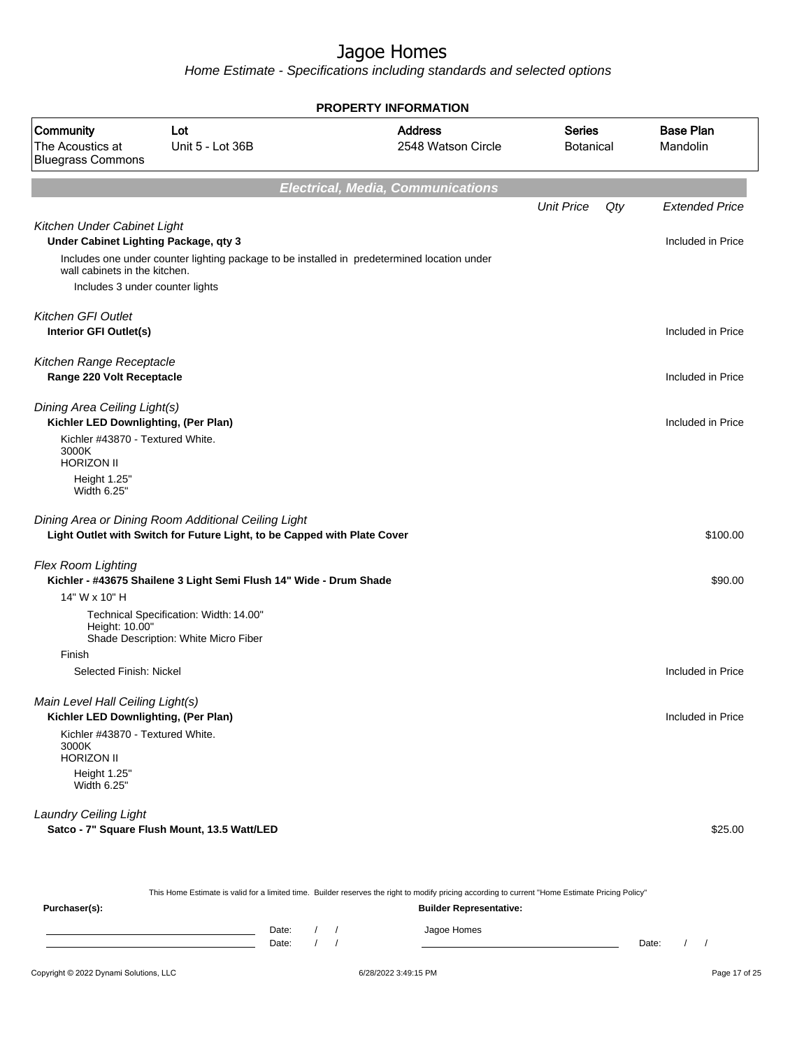Home Estimate - Specifications including standards and selected options

| <b>PROPERTY INFORMATION</b>                                              |                                                                                                                                 |                                                                                             |                                   |     |                              |  |  |  |
|--------------------------------------------------------------------------|---------------------------------------------------------------------------------------------------------------------------------|---------------------------------------------------------------------------------------------|-----------------------------------|-----|------------------------------|--|--|--|
| Community<br>The Acoustics at<br><b>Bluegrass Commons</b>                | Lot<br>Unit 5 - Lot 36B                                                                                                         | <b>Address</b><br>2548 Watson Circle                                                        | <b>Series</b><br><b>Botanical</b> |     | <b>Base Plan</b><br>Mandolin |  |  |  |
|                                                                          |                                                                                                                                 | <b>Electrical, Media, Communications</b>                                                    |                                   |     |                              |  |  |  |
|                                                                          |                                                                                                                                 |                                                                                             | <b>Unit Price</b>                 | Qty | <b>Extended Price</b>        |  |  |  |
| Kitchen Under Cabinet Light<br>Under Cabinet Lighting Package, qty 3     |                                                                                                                                 |                                                                                             |                                   |     | Included in Price            |  |  |  |
| wall cabinets in the kitchen.                                            |                                                                                                                                 | Includes one under counter lighting package to be installed in predetermined location under |                                   |     |                              |  |  |  |
| Includes 3 under counter lights                                          |                                                                                                                                 |                                                                                             |                                   |     |                              |  |  |  |
| <b>Kitchen GFI Outlet</b><br>Interior GFI Outlet(s)                      |                                                                                                                                 |                                                                                             |                                   |     | Included in Price            |  |  |  |
| Kitchen Range Receptacle<br>Range 220 Volt Receptacle                    |                                                                                                                                 |                                                                                             |                                   |     | Included in Price            |  |  |  |
| Dining Area Ceiling Light(s)<br>Kichler LED Downlighting, (Per Plan)     |                                                                                                                                 |                                                                                             |                                   |     | Included in Price            |  |  |  |
| Kichler #43870 - Textured White.<br>3000K<br><b>HORIZON II</b>           |                                                                                                                                 |                                                                                             |                                   |     |                              |  |  |  |
| Height 1.25"<br>Width 6.25"                                              |                                                                                                                                 |                                                                                             |                                   |     |                              |  |  |  |
|                                                                          | Dining Area or Dining Room Additional Ceiling Light<br>Light Outlet with Switch for Future Light, to be Capped with Plate Cover |                                                                                             |                                   |     | \$100.00                     |  |  |  |
| Flex Room Lighting                                                       | Kichler - #43675 Shailene 3 Light Semi Flush 14" Wide - Drum Shade                                                              |                                                                                             |                                   |     | \$90.00                      |  |  |  |
| 14" W x 10" H                                                            |                                                                                                                                 |                                                                                             |                                   |     |                              |  |  |  |
| Height: 10.00"                                                           | Technical Specification: Width: 14.00"<br>Shade Description: White Micro Fiber                                                  |                                                                                             |                                   |     |                              |  |  |  |
| Finish                                                                   |                                                                                                                                 |                                                                                             |                                   |     |                              |  |  |  |
| Selected Finish: Nickel                                                  |                                                                                                                                 |                                                                                             |                                   |     | Included in Price            |  |  |  |
| Main Level Hall Ceiling Light(s)<br>Kichler LED Downlighting, (Per Plan) |                                                                                                                                 |                                                                                             |                                   |     | Included in Price            |  |  |  |
| Kichler #43870 - Textured White.<br>3000K<br><b>HORIZON II</b>           |                                                                                                                                 |                                                                                             |                                   |     |                              |  |  |  |
| Height 1.25"<br>Width 6.25"                                              |                                                                                                                                 |                                                                                             |                                   |     |                              |  |  |  |
| <b>Laundry Ceiling Light</b>                                             | Satco - 7" Square Flush Mount, 13.5 Watt/LED                                                                                    |                                                                                             |                                   |     | \$25.00                      |  |  |  |

This Home Estimate is valid for a limited time. Builder reserves the right to modify pricing according to current "Home Estimate Pricing Policy"

**Purchaser(s): Builder Representative:** Date: / / Jagoe Homes<br>Date: / / Jagoe Homes Date: / / **Date: / / 2006** Date: / / / Date: / / /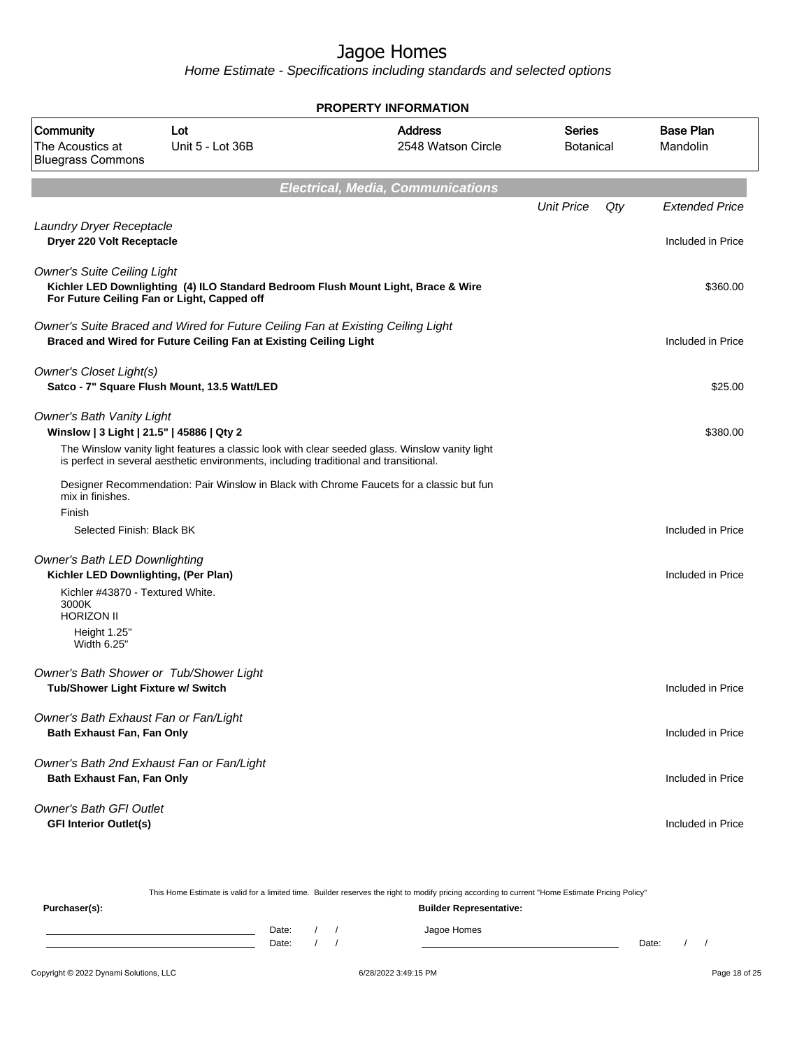| PROPERTY INFORMATION                                                                                   |                                                                                                                                                      |                                                                                                |                                   |     |                              |  |  |  |
|--------------------------------------------------------------------------------------------------------|------------------------------------------------------------------------------------------------------------------------------------------------------|------------------------------------------------------------------------------------------------|-----------------------------------|-----|------------------------------|--|--|--|
| Community<br>The Acoustics at<br><b>Bluegrass Commons</b>                                              | Lot<br>Unit 5 - Lot 36B                                                                                                                              | <b>Address</b><br>2548 Watson Circle                                                           | <b>Series</b><br><b>Botanical</b> |     | <b>Base Plan</b><br>Mandolin |  |  |  |
|                                                                                                        |                                                                                                                                                      | <b>Electrical, Media, Communications</b>                                                       |                                   |     |                              |  |  |  |
|                                                                                                        |                                                                                                                                                      |                                                                                                | <b>Unit Price</b>                 | Qty | <b>Extended Price</b>        |  |  |  |
| Laundry Dryer Receptacle<br>Dryer 220 Volt Receptacle                                                  |                                                                                                                                                      |                                                                                                |                                   |     | Included in Price            |  |  |  |
| <b>Owner's Suite Ceiling Light</b><br>For Future Ceiling Fan or Light, Capped off                      |                                                                                                                                                      | Kichler LED Downlighting (4) ILO Standard Bedroom Flush Mount Light, Brace & Wire              |                                   |     | \$360.00                     |  |  |  |
|                                                                                                        | Owner's Suite Braced and Wired for Future Ceiling Fan at Existing Ceiling Light<br>Braced and Wired for Future Ceiling Fan at Existing Ceiling Light |                                                                                                |                                   |     | Included in Price            |  |  |  |
| Owner's Closet Light(s)<br>Satco - 7" Square Flush Mount, 13.5 Watt/LED                                |                                                                                                                                                      |                                                                                                |                                   |     | \$25.00                      |  |  |  |
| <b>Owner's Bath Vanity Light</b><br>Winslow   3 Light   21.5"   45886   Qty 2                          |                                                                                                                                                      |                                                                                                |                                   |     | \$380.00                     |  |  |  |
|                                                                                                        | is perfect in several aesthetic environments, including traditional and transitional.                                                                | The Winslow vanity light features a classic look with clear seeded glass. Winslow vanity light |                                   |     |                              |  |  |  |
| mix in finishes.                                                                                       |                                                                                                                                                      | Designer Recommendation: Pair Winslow in Black with Chrome Faucets for a classic but fun       |                                   |     |                              |  |  |  |
| Finish<br>Selected Finish: Black BK                                                                    |                                                                                                                                                      |                                                                                                |                                   |     | Included in Price            |  |  |  |
| Owner's Bath LED Downlighting                                                                          |                                                                                                                                                      |                                                                                                |                                   |     |                              |  |  |  |
| Kichler LED Downlighting, (Per Plan)<br>Kichler #43870 - Textured White.<br>3000K<br><b>HORIZON II</b> |                                                                                                                                                      |                                                                                                |                                   |     | Included in Price            |  |  |  |
| Height 1.25"<br>Width 6.25"                                                                            |                                                                                                                                                      |                                                                                                |                                   |     |                              |  |  |  |
| Owner's Bath Shower or Tub/Shower Light<br>Tub/Shower Light Fixture w/ Switch                          |                                                                                                                                                      |                                                                                                |                                   |     | Included in Price            |  |  |  |
| Owner's Bath Exhaust Fan or Fan/Light<br>Bath Exhaust Fan, Fan Only                                    |                                                                                                                                                      |                                                                                                |                                   |     | Included in Price            |  |  |  |
| Owner's Bath 2nd Exhaust Fan or Fan/Light<br>Bath Exhaust Fan, Fan Only                                |                                                                                                                                                      |                                                                                                |                                   |     | Included in Price            |  |  |  |
| <b>Owner's Bath GFI Outlet</b><br><b>GFI Interior Outlet(s)</b>                                        |                                                                                                                                                      |                                                                                                |                                   |     | Included in Price            |  |  |  |

|               | This Home Estimate is valid for a limited time. Builder reserves the right to modify pricing according to current "Home Estimate Pricing Policy" |
|---------------|--------------------------------------------------------------------------------------------------------------------------------------------------|
| Purchaser(s): | <b>Builder Representative:</b>                                                                                                                   |

| Date: |  | .<br>m≏<br>. |       |  |
|-------|--|--------------|-------|--|
| Date: |  |              | Date: |  |
|       |  |              |       |  |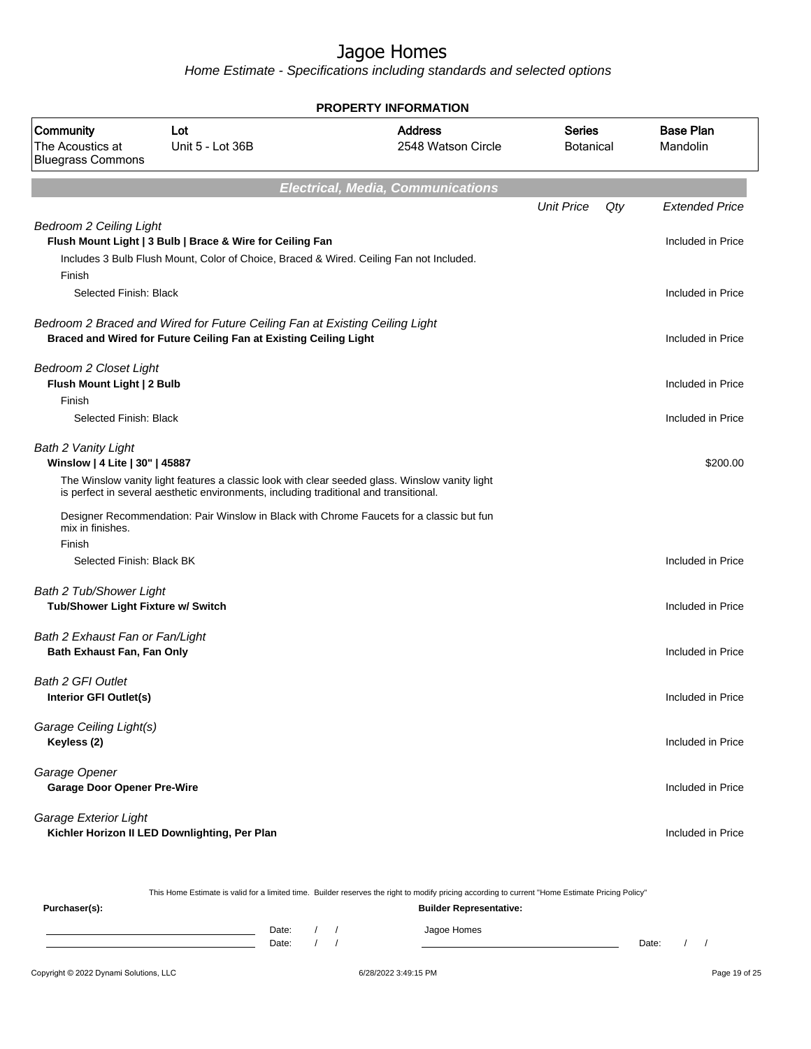Home Estimate - Specifications including standards and selected options

| <b>PROPERTY INFORMATION</b>                                           |                                                                                                                                                      |                                                                                                |                                   |     |                              |  |  |  |  |
|-----------------------------------------------------------------------|------------------------------------------------------------------------------------------------------------------------------------------------------|------------------------------------------------------------------------------------------------|-----------------------------------|-----|------------------------------|--|--|--|--|
| Community<br>The Acoustics at<br><b>Bluegrass Commons</b>             | Lot<br>Unit 5 - Lot 36B                                                                                                                              | <b>Address</b><br>2548 Watson Circle                                                           | <b>Series</b><br><b>Botanical</b> |     | <b>Base Plan</b><br>Mandolin |  |  |  |  |
|                                                                       |                                                                                                                                                      | <b>Electrical, Media, Communications</b>                                                       |                                   |     |                              |  |  |  |  |
|                                                                       |                                                                                                                                                      |                                                                                                | <b>Unit Price</b>                 | Qty | <b>Extended Price</b>        |  |  |  |  |
| <b>Bedroom 2 Ceiling Light</b><br>Finish                              | Flush Mount Light   3 Bulb   Brace & Wire for Ceiling Fan<br>Includes 3 Bulb Flush Mount, Color of Choice, Braced & Wired. Ceiling Fan not Included. |                                                                                                |                                   |     | Included in Price            |  |  |  |  |
| Selected Finish: Black                                                |                                                                                                                                                      |                                                                                                |                                   |     | Included in Price            |  |  |  |  |
|                                                                       | Bedroom 2 Braced and Wired for Future Ceiling Fan at Existing Ceiling Light<br>Braced and Wired for Future Ceiling Fan at Existing Ceiling Light     |                                                                                                |                                   |     | Included in Price            |  |  |  |  |
| <b>Bedroom 2 Closet Light</b><br>Flush Mount Light   2 Bulb<br>Finish |                                                                                                                                                      |                                                                                                |                                   |     | Included in Price            |  |  |  |  |
| Selected Finish: Black                                                |                                                                                                                                                      |                                                                                                |                                   |     | Included in Price            |  |  |  |  |
| <b>Bath 2 Vanity Light</b><br>Winslow   4 Lite   30"   45887          | is perfect in several aesthetic environments, including traditional and transitional.                                                                | The Winslow vanity light features a classic look with clear seeded glass. Winslow vanity light |                                   |     | \$200.00                     |  |  |  |  |
| mix in finishes.                                                      |                                                                                                                                                      | Designer Recommendation: Pair Winslow in Black with Chrome Faucets for a classic but fun       |                                   |     |                              |  |  |  |  |
| Finish<br>Selected Finish: Black BK                                   |                                                                                                                                                      |                                                                                                |                                   |     | Included in Price            |  |  |  |  |
| <b>Bath 2 Tub/Shower Light</b><br>Tub/Shower Light Fixture w/ Switch  |                                                                                                                                                      |                                                                                                |                                   |     | Included in Price            |  |  |  |  |
| Bath 2 Exhaust Fan or Fan/Light<br>Bath Exhaust Fan, Fan Only         |                                                                                                                                                      |                                                                                                |                                   |     | Included in Price            |  |  |  |  |
| <b>Bath 2 GFI Outlet</b><br>Interior GFI Outlet(s)                    |                                                                                                                                                      |                                                                                                |                                   |     | Included in Price            |  |  |  |  |
| Garage Ceiling Light(s)<br>Keyless (2)                                |                                                                                                                                                      |                                                                                                |                                   |     | Included in Price            |  |  |  |  |
| Garage Opener<br><b>Garage Door Opener Pre-Wire</b>                   |                                                                                                                                                      |                                                                                                |                                   |     | Included in Price            |  |  |  |  |
| Garage Exterior Light                                                 | Kichler Horizon II LED Downlighting, Per Plan                                                                                                        |                                                                                                |                                   |     | Included in Price            |  |  |  |  |

This Home Estimate is valid for a limited time. Builder reserves the right to modify pricing according to current "Home Estimate Pricing Policy"

| Purchaser(s): |                |  | <b>Builder Representative:</b> |       |  |
|---------------|----------------|--|--------------------------------|-------|--|
|               | Date:<br>Date: |  | Jagoe Homes                    | Date: |  |
|               |                |  |                                |       |  |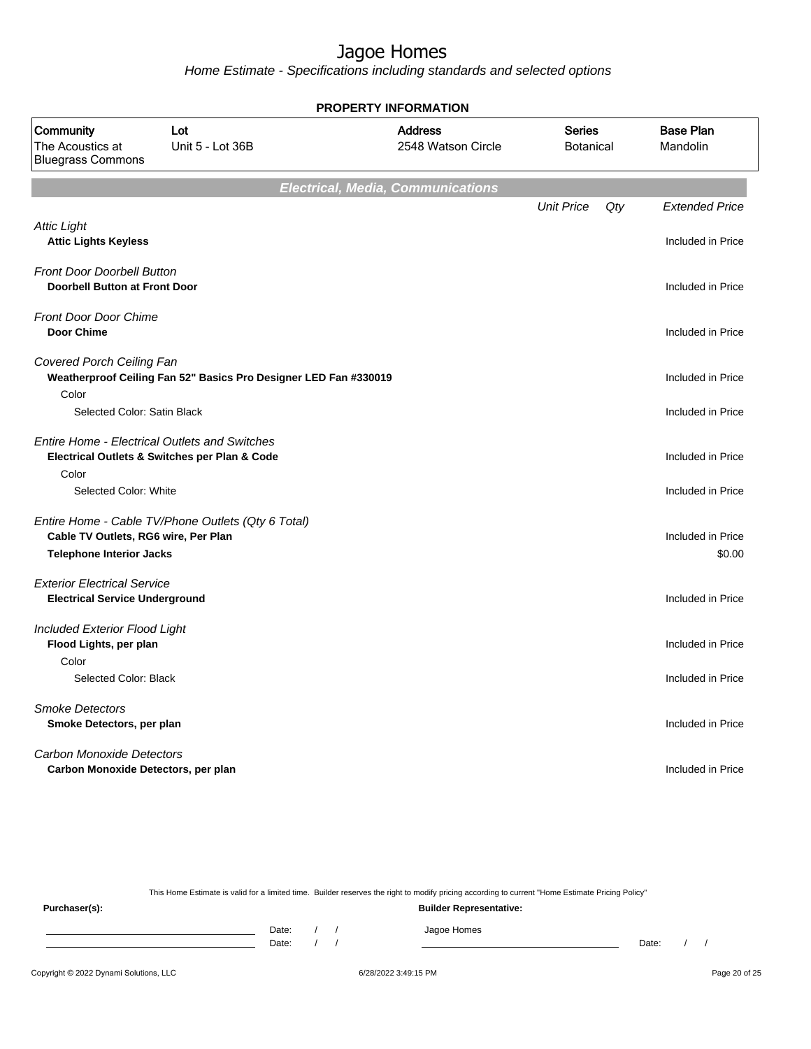Home Estimate - Specifications including standards and selected options

**Electrical, Media, Communications** Unit Price Qty Extended Price Attic Light **Attic Lights Keyless** Included in Price Front Door Doorbell Button **Doorbell Button at Front Door Included in Price** Front Door Door Chime **Door Chime** Included in Price Covered Porch Ceiling Fan **Weatherproof Ceiling Fan 52" Basics Pro Designer LED Fan #330019 Included in Price** Included in Price Color Selected Color: Satin Black Included in Price Included in Price Included in Price Entire Home - Electrical Outlets and Switches **Electrical Outlets & Switches per Plan & Code** Included in Price Color Selected Color: White Included in Price Included in Price Entire Home - Cable TV/Phone Outlets (Qty 6 Total) **Cable TV Outlets, RG6 wire, Per Plan** Included in Price **Telephone Interior Jacks** \$0.00 Exterior Electrical Service **Electrical Service Underground Included in Price** Included Exterior Flood Light **Flood Lights, per plan** Included in Price Color Selected Color: Black Included in Price Included in Price Included in Price Included in Price Smoke Detectors **Smoke Detectors, per plan Included in Price** Carbon Monoxide Detectors **Carbon Monoxide Detectors, per plan** Included in Price **PROPERTY INFORMATION** Botanical Series 2548 Watson Circle Address The Acoustics at Unit 5 - Lot 36B Bluegrass Commons Community Lot Mandolin Base Plan

This Home Estimate is valid for a limited time. Builder reserves the right to modify pricing according to current "Home Estimate Pricing Policy" **Purchaser(s): Builder Representative:**

Date: / / / Jagoe Homes Date: / / Date: / /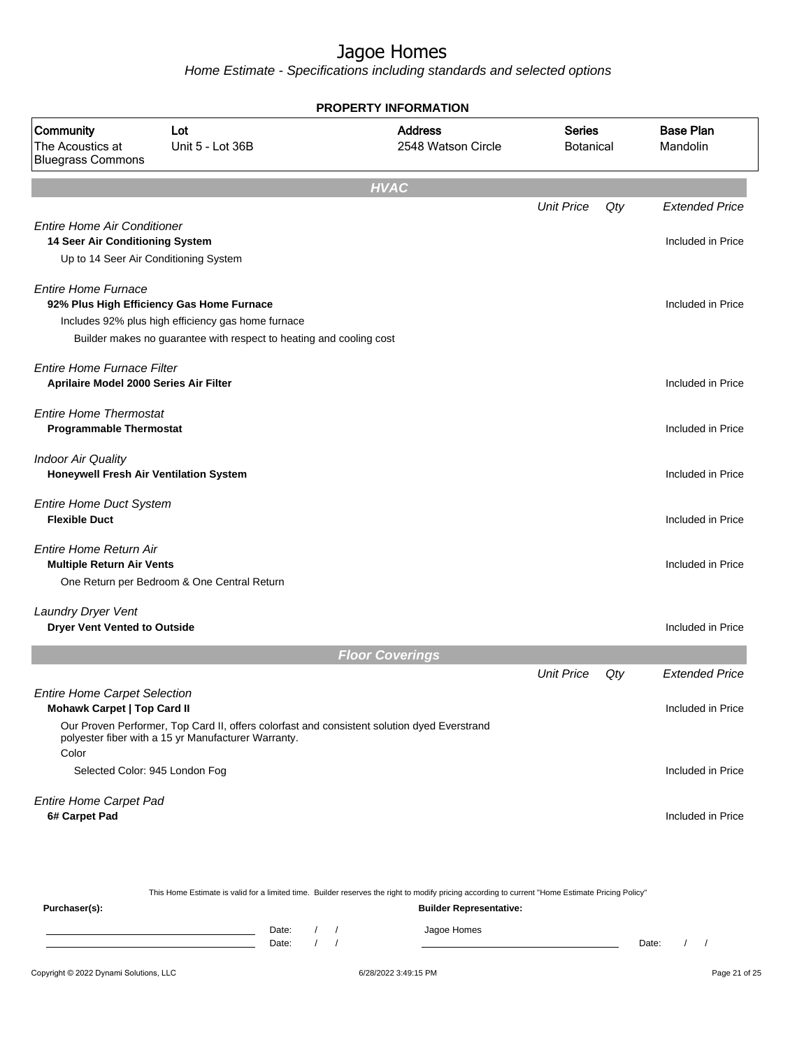| <b>PROPERTY INFORMATION</b>                                                                                    |                                                                                                                                                                        |                                                                                             |                                   |     |                              |  |  |  |
|----------------------------------------------------------------------------------------------------------------|------------------------------------------------------------------------------------------------------------------------------------------------------------------------|---------------------------------------------------------------------------------------------|-----------------------------------|-----|------------------------------|--|--|--|
| Community<br>The Acoustics at<br><b>Bluegrass Commons</b>                                                      | Lot<br>Unit 5 - Lot 36B                                                                                                                                                | <b>Address</b><br>2548 Watson Circle                                                        | <b>Series</b><br><b>Botanical</b> |     | <b>Base Plan</b><br>Mandolin |  |  |  |
|                                                                                                                |                                                                                                                                                                        | <b>HVAC</b>                                                                                 |                                   |     |                              |  |  |  |
|                                                                                                                |                                                                                                                                                                        |                                                                                             | <b>Unit Price</b>                 | Qty | <b>Extended Price</b>        |  |  |  |
| <b>Entire Home Air Conditioner</b><br>14 Seer Air Conditioning System<br>Up to 14 Seer Air Conditioning System |                                                                                                                                                                        |                                                                                             |                                   |     | Included in Price            |  |  |  |
| <b>Entire Home Furnace</b>                                                                                     | 92% Plus High Efficiency Gas Home Furnace<br>Includes 92% plus high efficiency gas home furnace<br>Builder makes no guarantee with respect to heating and cooling cost |                                                                                             |                                   |     | Included in Price            |  |  |  |
| <b>Entire Home Furnace Filter</b><br>Aprilaire Model 2000 Series Air Filter                                    |                                                                                                                                                                        |                                                                                             |                                   |     | Included in Price            |  |  |  |
| <b>Entire Home Thermostat</b><br><b>Programmable Thermostat</b>                                                |                                                                                                                                                                        |                                                                                             |                                   |     | Included in Price            |  |  |  |
| <b>Indoor Air Quality</b><br>Honeywell Fresh Air Ventilation System                                            |                                                                                                                                                                        |                                                                                             |                                   |     | Included in Price            |  |  |  |
| <b>Entire Home Duct System</b><br><b>Flexible Duct</b>                                                         |                                                                                                                                                                        |                                                                                             |                                   |     | Included in Price            |  |  |  |
| Entire Home Return Air<br><b>Multiple Return Air Vents</b>                                                     | One Return per Bedroom & One Central Return                                                                                                                            |                                                                                             |                                   |     | Included in Price            |  |  |  |
| Laundry Dryer Vent<br><b>Dryer Vent Vented to Outside</b>                                                      |                                                                                                                                                                        |                                                                                             |                                   |     | Included in Price            |  |  |  |
|                                                                                                                |                                                                                                                                                                        | <b>Floor Coverings</b>                                                                      |                                   |     |                              |  |  |  |
| <b>Entire Home Carpet Selection</b>                                                                            |                                                                                                                                                                        |                                                                                             | <b>Unit Price</b>                 | Qty | <b>Extended Price</b>        |  |  |  |
| <b>Mohawk Carpet   Top Card II</b>                                                                             |                                                                                                                                                                        |                                                                                             |                                   |     | Included in Price            |  |  |  |
| Color                                                                                                          | polyester fiber with a 15 yr Manufacturer Warranty.                                                                                                                    | Our Proven Performer, Top Card II, offers colorfast and consistent solution dyed Everstrand |                                   |     |                              |  |  |  |
| Selected Color: 945 London Fog                                                                                 |                                                                                                                                                                        |                                                                                             |                                   |     | Included in Price            |  |  |  |
| <b>Entire Home Carpet Pad</b><br>6# Carpet Pad                                                                 |                                                                                                                                                                        |                                                                                             |                                   |     | Included in Price            |  |  |  |

|               |                                |  |  |  | This Home Estimate is valid for a limited time. Builder reserves the right to modify pricing according to current "Home Estimate Pricing Policy" |       |  |  |
|---------------|--------------------------------|--|--|--|--------------------------------------------------------------------------------------------------------------------------------------------------|-------|--|--|
| Purchaser(s): | <b>Builder Representative:</b> |  |  |  |                                                                                                                                                  |       |  |  |
|               | Date:                          |  |  |  | Jagoe Homes                                                                                                                                      |       |  |  |
|               | Date:                          |  |  |  |                                                                                                                                                  | Date: |  |  |
|               |                                |  |  |  |                                                                                                                                                  |       |  |  |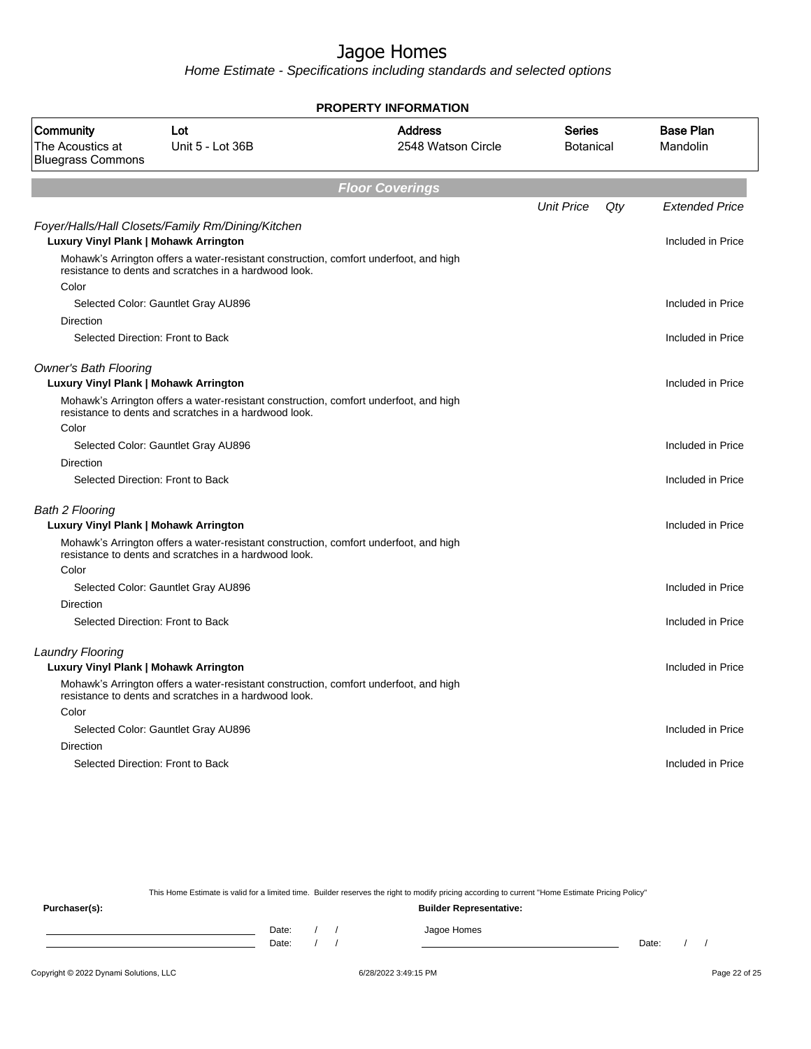Home Estimate - Specifications including standards and selected options

| <b>PROPERTY INFORMATION</b>                                           |                                                                                                                                                |                                      |                                   |     |                              |  |  |
|-----------------------------------------------------------------------|------------------------------------------------------------------------------------------------------------------------------------------------|--------------------------------------|-----------------------------------|-----|------------------------------|--|--|
| Community<br>The Acoustics at<br><b>Bluegrass Commons</b>             | Lot<br>Unit 5 - Lot 36B                                                                                                                        | <b>Address</b><br>2548 Watson Circle | <b>Series</b><br><b>Botanical</b> |     | <b>Base Plan</b><br>Mandolin |  |  |
|                                                                       |                                                                                                                                                | <b>Floor Coverings</b>               |                                   |     |                              |  |  |
|                                                                       |                                                                                                                                                |                                      | <b>Unit Price</b>                 | Qty | <b>Extended Price</b>        |  |  |
| Luxury Vinyl Plank   Mohawk Arrington                                 | Foyer/Halls/Hall Closets/Family Rm/Dining/Kitchen                                                                                              |                                      |                                   |     | Included in Price            |  |  |
|                                                                       | Mohawk's Arrington offers a water-resistant construction, comfort underfoot, and high<br>resistance to dents and scratches in a hardwood look. |                                      |                                   |     |                              |  |  |
| Color                                                                 |                                                                                                                                                |                                      |                                   |     |                              |  |  |
|                                                                       | Selected Color: Gauntlet Gray AU896                                                                                                            |                                      |                                   |     | Included in Price            |  |  |
| Direction                                                             | Selected Direction: Front to Back                                                                                                              |                                      |                                   |     | Included in Price            |  |  |
| <b>Owner's Bath Flooring</b><br>Luxury Vinyl Plank   Mohawk Arrington |                                                                                                                                                |                                      |                                   |     | Included in Price            |  |  |
|                                                                       | Mohawk's Arrington offers a water-resistant construction, comfort underfoot, and high<br>resistance to dents and scratches in a hardwood look. |                                      |                                   |     |                              |  |  |
| Color                                                                 |                                                                                                                                                |                                      |                                   |     |                              |  |  |
|                                                                       | Selected Color: Gauntlet Gray AU896                                                                                                            |                                      |                                   |     | Included in Price            |  |  |
| <b>Direction</b>                                                      |                                                                                                                                                |                                      |                                   |     |                              |  |  |
|                                                                       | Selected Direction: Front to Back                                                                                                              |                                      |                                   |     | Included in Price            |  |  |
| <b>Bath 2 Flooring</b>                                                |                                                                                                                                                |                                      |                                   |     |                              |  |  |
| Luxury Vinyl Plank   Mohawk Arrington                                 |                                                                                                                                                |                                      |                                   |     | Included in Price            |  |  |
|                                                                       | Mohawk's Arrington offers a water-resistant construction, comfort underfoot, and high<br>resistance to dents and scratches in a hardwood look. |                                      |                                   |     |                              |  |  |
| Color                                                                 |                                                                                                                                                |                                      |                                   |     |                              |  |  |
|                                                                       | Selected Color: Gauntlet Gray AU896                                                                                                            |                                      |                                   |     | Included in Price            |  |  |
| Direction                                                             |                                                                                                                                                |                                      |                                   |     |                              |  |  |
|                                                                       | Selected Direction: Front to Back                                                                                                              |                                      |                                   |     | Included in Price            |  |  |
| <b>Laundry Flooring</b>                                               |                                                                                                                                                |                                      |                                   |     |                              |  |  |
| Luxury Vinyl Plank   Mohawk Arrington                                 |                                                                                                                                                |                                      |                                   |     | Included in Price            |  |  |
|                                                                       | Mohawk's Arrington offers a water-resistant construction, comfort underfoot, and high<br>resistance to dents and scratches in a hardwood look. |                                      |                                   |     |                              |  |  |
| Color                                                                 |                                                                                                                                                |                                      |                                   |     |                              |  |  |
|                                                                       | Selected Color: Gauntlet Gray AU896                                                                                                            |                                      |                                   |     | Included in Price            |  |  |
| <b>Direction</b>                                                      |                                                                                                                                                |                                      |                                   |     |                              |  |  |
|                                                                       | Selected Direction: Front to Back                                                                                                              |                                      |                                   |     | Included in Price            |  |  |
|                                                                       |                                                                                                                                                |                                      |                                   |     |                              |  |  |

This Home Estimate is valid for a limited time. Builder reserves the right to modify pricing according to current "Home Estimate Pricing Policy"

**Purchaser(s): Builder Representative:** Date: / / Jagoe Homes<br>Date: / / Jagoe Homes Date: / / Date: / /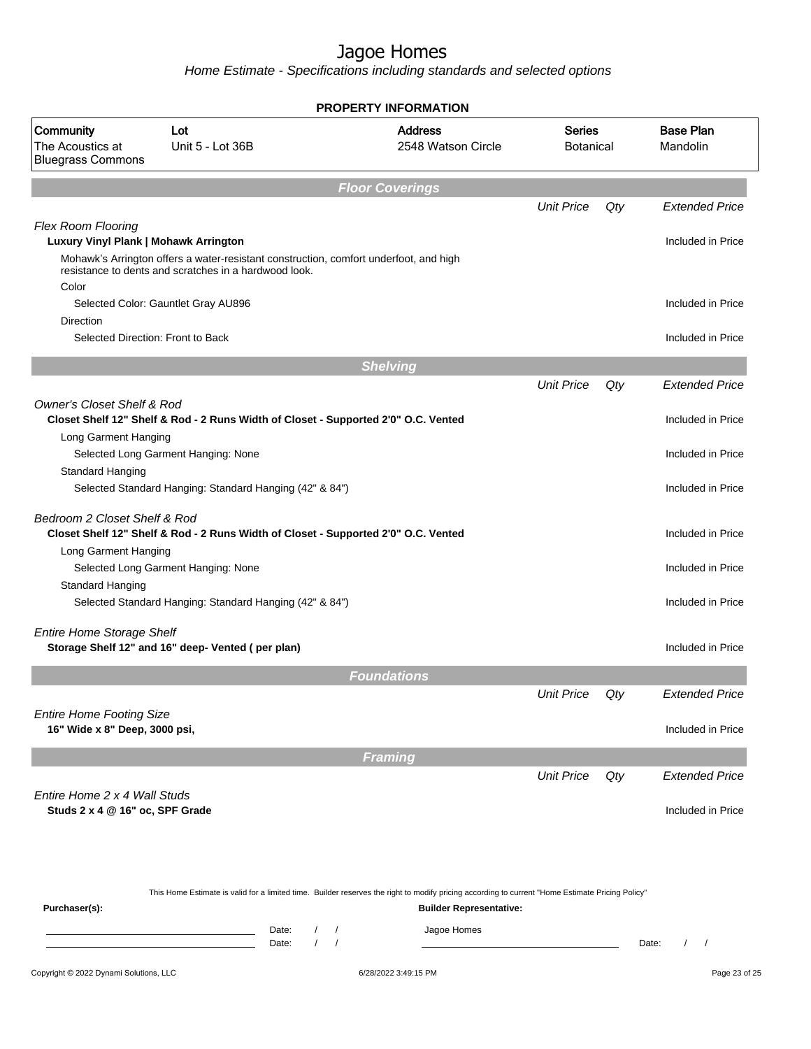Home Estimate - Specifications including standards and selected options

|                                                                    |                                                                                                                                                  | <b>PROPERTY INFORMATION</b>                                               |                                |                   |                              |                       |
|--------------------------------------------------------------------|--------------------------------------------------------------------------------------------------------------------------------------------------|---------------------------------------------------------------------------|--------------------------------|-------------------|------------------------------|-----------------------|
| Community<br>The Acoustics at<br><b>Bluegrass Commons</b>          | Lot<br>Unit 5 - Lot 36B                                                                                                                          | <b>Address</b><br><b>Series</b><br>2548 Watson Circle<br><b>Botanical</b> |                                |                   | <b>Base Plan</b><br>Mandolin |                       |
|                                                                    |                                                                                                                                                  | <b>Floor Coverings</b>                                                    |                                |                   |                              |                       |
|                                                                    |                                                                                                                                                  |                                                                           |                                | <b>Unit Price</b> | Qty                          | <b>Extended Price</b> |
| <b>Flex Room Flooring</b><br>Luxury Vinyl Plank   Mohawk Arrington |                                                                                                                                                  |                                                                           |                                |                   |                              | Included in Price     |
| Color                                                              | Mohawk's Arrington offers a water-resistant construction, comfort underfoot, and high<br>resistance to dents and scratches in a hardwood look.   |                                                                           |                                |                   |                              |                       |
|                                                                    | Selected Color: Gauntlet Gray AU896                                                                                                              |                                                                           |                                |                   |                              | Included in Price     |
| Direction                                                          |                                                                                                                                                  |                                                                           |                                |                   |                              |                       |
| Selected Direction: Front to Back                                  |                                                                                                                                                  |                                                                           |                                |                   |                              | Included in Price     |
|                                                                    |                                                                                                                                                  | <b>Shelving</b>                                                           |                                |                   |                              |                       |
|                                                                    |                                                                                                                                                  |                                                                           |                                | <b>Unit Price</b> | Qty                          | <b>Extended Price</b> |
| <b>Owner's Closet Shelf &amp; Rod</b>                              | Closet Shelf 12" Shelf & Rod - 2 Runs Width of Closet - Supported 2'0" O.C. Vented                                                               |                                                                           |                                |                   |                              | Included in Price     |
| Long Garment Hanging                                               |                                                                                                                                                  |                                                                           |                                |                   |                              |                       |
|                                                                    | Selected Long Garment Hanging: None                                                                                                              |                                                                           |                                |                   |                              | Included in Price     |
| Standard Hanging                                                   |                                                                                                                                                  |                                                                           |                                |                   |                              |                       |
|                                                                    | Selected Standard Hanging: Standard Hanging (42" & 84")                                                                                          |                                                                           |                                |                   |                              | Included in Price     |
| Bedroom 2 Closet Shelf & Rod                                       | Closet Shelf 12" Shelf & Rod - 2 Runs Width of Closet - Supported 2'0" O.C. Vented                                                               |                                                                           |                                |                   |                              | Included in Price     |
| Long Garment Hanging                                               |                                                                                                                                                  |                                                                           |                                |                   |                              |                       |
|                                                                    | Selected Long Garment Hanging: None                                                                                                              |                                                                           |                                |                   |                              | Included in Price     |
| Standard Hanging                                                   |                                                                                                                                                  |                                                                           |                                |                   |                              |                       |
|                                                                    | Selected Standard Hanging: Standard Hanging (42" & 84")                                                                                          |                                                                           |                                |                   |                              | Included in Price     |
| <b>Entire Home Storage Shelf</b>                                   | Storage Shelf 12" and 16" deep- Vented (per plan)                                                                                                |                                                                           |                                |                   |                              | Included in Price     |
|                                                                    |                                                                                                                                                  |                                                                           |                                |                   |                              |                       |
|                                                                    |                                                                                                                                                  | <b>Foundations</b>                                                        |                                |                   |                              |                       |
|                                                                    |                                                                                                                                                  |                                                                           |                                | <b>Unit Price</b> | Qty                          | <b>Extended Price</b> |
| <b>Entire Home Footing Size</b><br>16" Wide x 8" Deep, 3000 psi,   |                                                                                                                                                  |                                                                           |                                |                   |                              | Included in Price     |
|                                                                    |                                                                                                                                                  | <b>Framing</b>                                                            |                                |                   |                              |                       |
|                                                                    |                                                                                                                                                  |                                                                           |                                | <b>Unit Price</b> | Qty                          | <b>Extended Price</b> |
| Entire Home 2 x 4 Wall Studs                                       |                                                                                                                                                  |                                                                           |                                |                   |                              |                       |
| Studs 2 x 4 @ 16" oc, SPF Grade                                    |                                                                                                                                                  |                                                                           |                                |                   |                              | Included in Price     |
|                                                                    |                                                                                                                                                  |                                                                           |                                |                   |                              |                       |
| Purchaser(s):                                                      | This Home Estimate is valid for a limited time. Builder reserves the right to modify pricing according to current "Home Estimate Pricing Policy" |                                                                           | <b>Builder Representative:</b> |                   |                              |                       |
|                                                                    | Date:                                                                                                                                            | Jagoe Homes<br>$\sqrt{ }$                                                 |                                |                   |                              |                       |
|                                                                    | Date:                                                                                                                                            |                                                                           |                                |                   |                              | Date:                 |

Copyright © 2022 Dynami Solutions, LLC <br>
6/28/2022 3:49:15 PM Page 23 of 25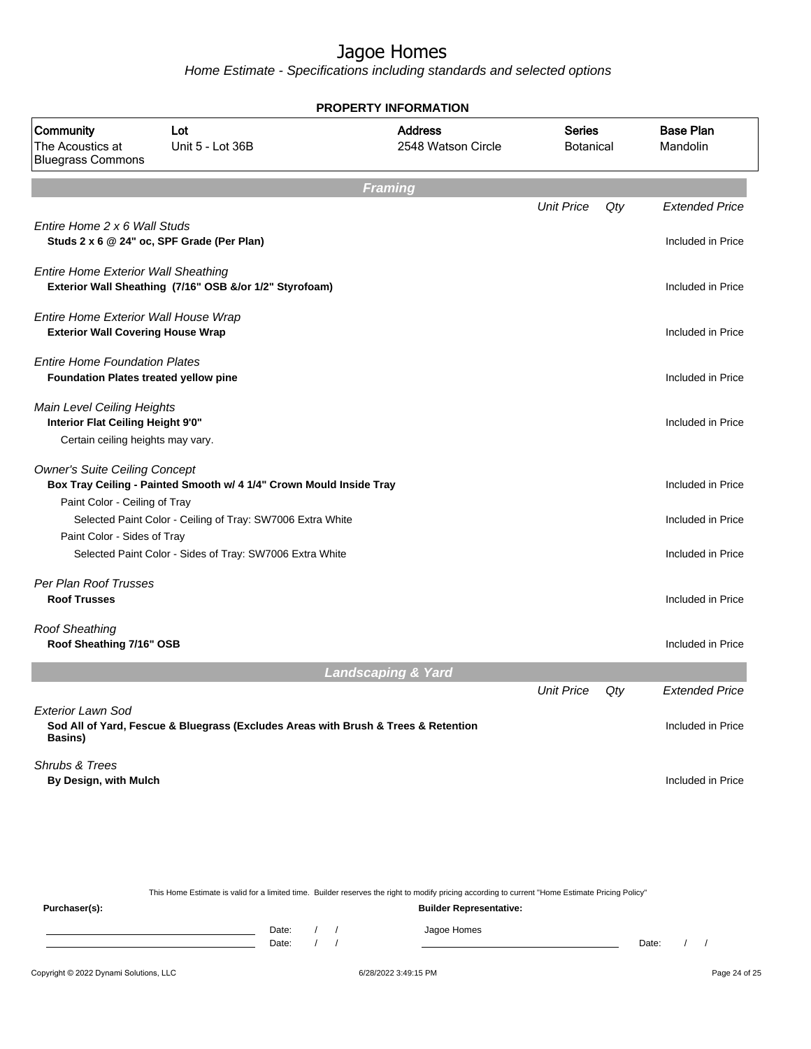Home Estimate - Specifications including standards and selected options

|                                                                                                             |                                                                                    | <b>PROPERTY INFORMATION</b>                                                                                                                                                        |                   |     |                       |
|-------------------------------------------------------------------------------------------------------------|------------------------------------------------------------------------------------|------------------------------------------------------------------------------------------------------------------------------------------------------------------------------------|-------------------|-----|-----------------------|
| Community<br>The Acoustics at<br><b>Bluegrass Commons</b>                                                   | Lot<br>Unit 5 - Lot 36B                                                            | <b>Address</b><br><b>Series</b><br>2548 Watson Circle<br><b>Botanical</b>                                                                                                          |                   |     |                       |
|                                                                                                             |                                                                                    | <b>Framing</b>                                                                                                                                                                     |                   |     |                       |
|                                                                                                             |                                                                                    |                                                                                                                                                                                    | <b>Unit Price</b> | Qty | <b>Extended Price</b> |
| Entire Home 2 x 6 Wall Studs                                                                                | Studs 2 x 6 @ 24" oc, SPF Grade (Per Plan)                                         |                                                                                                                                                                                    |                   |     | Included in Price     |
| <b>Entire Home Exterior Wall Sheathing</b>                                                                  | Exterior Wall Sheathing (7/16" OSB &/or 1/2" Styrofoam)                            |                                                                                                                                                                                    |                   |     | Included in Price     |
| Entire Home Exterior Wall House Wrap<br><b>Exterior Wall Covering House Wrap</b>                            |                                                                                    |                                                                                                                                                                                    |                   |     | Included in Price     |
| <b>Entire Home Foundation Plates</b><br>Foundation Plates treated yellow pine                               |                                                                                    |                                                                                                                                                                                    |                   |     | Included in Price     |
| <b>Main Level Ceiling Heights</b><br>Interior Flat Ceiling Height 9'0"<br>Certain ceiling heights may vary. |                                                                                    |                                                                                                                                                                                    |                   |     | Included in Price     |
| <b>Owner's Suite Ceiling Concept</b>                                                                        | Box Tray Ceiling - Painted Smooth w/ 4 1/4" Crown Mould Inside Tray                |                                                                                                                                                                                    |                   |     | Included in Price     |
| Paint Color - Ceiling of Tray<br>Paint Color - Sides of Tray                                                | Selected Paint Color - Ceiling of Tray: SW7006 Extra White                         |                                                                                                                                                                                    |                   |     | Included in Price     |
|                                                                                                             | Selected Paint Color - Sides of Tray: SW7006 Extra White                           |                                                                                                                                                                                    |                   |     | Included in Price     |
| Per Plan Roof Trusses<br><b>Roof Trusses</b>                                                                |                                                                                    |                                                                                                                                                                                    |                   |     | Included in Price     |
| <b>Roof Sheathing</b><br>Roof Sheathing 7/16" OSB                                                           |                                                                                    |                                                                                                                                                                                    |                   |     | Included in Price     |
|                                                                                                             |                                                                                    | <b>Landscaping &amp; Yard</b>                                                                                                                                                      |                   |     |                       |
|                                                                                                             |                                                                                    |                                                                                                                                                                                    | <b>Unit Price</b> | Qty | <b>Extended Price</b> |
| <b>Exterior Lawn Sod</b><br>Basins)                                                                         | Sod All of Yard, Fescue & Bluegrass (Excludes Areas with Brush & Trees & Retention |                                                                                                                                                                                    |                   |     | Included in Price     |
| Shrubs & Trees<br>By Design, with Mulch                                                                     |                                                                                    |                                                                                                                                                                                    |                   |     | Included in Price     |
|                                                                                                             |                                                                                    |                                                                                                                                                                                    |                   |     |                       |
| Purchaser(s):                                                                                               |                                                                                    | This Home Estimate is valid for a limited time. Builder reserves the right to modify pricing according to current "Home Estimate Pricing Policy"<br><b>Builder Representative:</b> |                   |     |                       |
|                                                                                                             | Date:<br>$\prime$                                                                  | Jagoe Homes<br>$\sqrt{2}$                                                                                                                                                          |                   |     |                       |

#### Copyright © 2022 Dynami Solutions, LLC <br>
6/28/2022 3:49:15 PM Page 24 of 25

Date: / / Date: / /